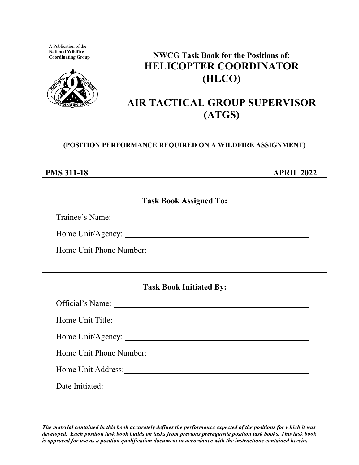A Publication of the **National Wildfire**



# **NWCG Task Book for the Positions of: HELICOPTER COORDINATOR (HLCO)**

# **AIR TACTICAL GROUP SUPERVISOR (ATGS)**

### **(POSITION PERFORMANCE REQUIRED ON A WILDFIRE ASSIGNMENT)**

### **PMS 311-18 APRIL 2022**

| <b>Task Book Assigned To:</b>  |  |  |  |  |
|--------------------------------|--|--|--|--|
|                                |  |  |  |  |
|                                |  |  |  |  |
|                                |  |  |  |  |
|                                |  |  |  |  |
| <b>Task Book Initiated By:</b> |  |  |  |  |
|                                |  |  |  |  |
|                                |  |  |  |  |
|                                |  |  |  |  |
|                                |  |  |  |  |
|                                |  |  |  |  |
|                                |  |  |  |  |

*The material contained in this book accurately defines the performance expected of the positions for which it was developed. Each position task book builds on tasks from previous prerequisite position task books. This task book is approved for use as a position qualification document in accordance with the instructions contained herein.*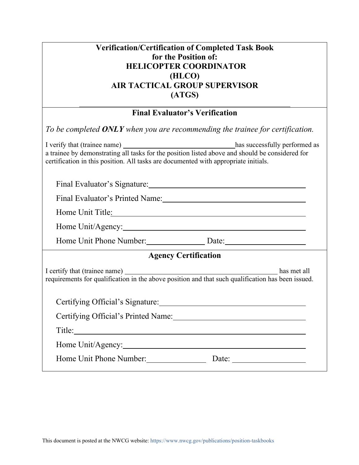| <b>Verification/Certification of Completed Task Book</b> |  |
|----------------------------------------------------------|--|
| for the Position of:                                     |  |
| <b>HELICOPTER COORDINATOR</b>                            |  |
| (HLCO)                                                   |  |
| <b>AIR TACTICAL GROUP SUPERVISOR</b>                     |  |
| (ATGS)                                                   |  |

### **Final Evaluator's Verification**

| To be completed ONLY when you are recommending the trainee for certification.                                                                                                                                                                                                         |
|---------------------------------------------------------------------------------------------------------------------------------------------------------------------------------------------------------------------------------------------------------------------------------------|
| I verify that (trainee name) _________________________________has successfully performed as<br>a trainee by demonstrating all tasks for the position listed above and should be considered for<br>certification in this position. All tasks are documented with appropriate initials. |
|                                                                                                                                                                                                                                                                                       |
|                                                                                                                                                                                                                                                                                       |
| Home Unit Title: New York Changes and Title Changes and Title Changes and Title Changes and Title Changes and Title Changes and Title Changes and Title Changes and Title Changes and Title Changes and Title Changes and Titl                                                        |
| Home Unit/Agency:                                                                                                                                                                                                                                                                     |
| Home Unit Phone Number: Date: Date:                                                                                                                                                                                                                                                   |
| <b>Agency Certification</b>                                                                                                                                                                                                                                                           |
| I certify that (trainee name) has met all requirements for qualification in the above position and that such qualification has been issued.                                                                                                                                           |
|                                                                                                                                                                                                                                                                                       |
|                                                                                                                                                                                                                                                                                       |
|                                                                                                                                                                                                                                                                                       |
| Home Unit/Agency:                                                                                                                                                                                                                                                                     |
| Home Unit Phone Number: Date: Date: Date:                                                                                                                                                                                                                                             |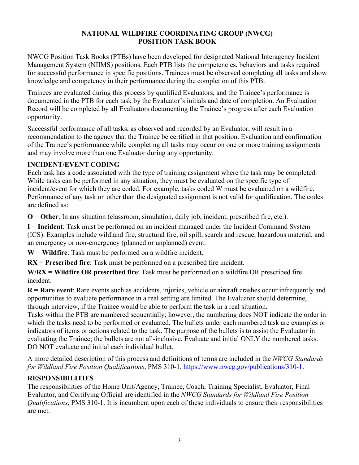#### **NATIONAL WILDFIRE COORDINATING GROUP (NWCG) POSITION TASK BOOK**

NWCG Position Task Books (PTBs) have been developed for designated National Interagency Incident Management System (NIIMS) positions. Each PTB lists the competencies, behaviors and tasks required for successful performance in specific positions. Trainees must be observed completing all tasks and show knowledge and competency in their performance during the completion of this PTB.

Trainees are evaluated during this process by qualified Evaluators, and the Trainee's performance is documented in the PTB for each task by the Evaluator's initials and date of completion. An Evaluation Record will be completed by all Evaluators documenting the Trainee's progress after each Evaluation opportunity.

Successful performance of all tasks, as observed and recorded by an Evaluator, will result in a recommendation to the agency that the Trainee be certified in that position. Evaluation and confirmation of the Trainee's performance while completing all tasks may occur on one or more training assignments and may involve more than one Evaluator during any opportunity.

#### **INCIDENT/EVENT CODING**

Each task has a code associated with the type of training assignment where the task may be completed. While tasks can be performed in any situation, they must be evaluated on the specific type of incident/event for which they are coded. For example, tasks coded W must be evaluated on a wildfire. Performance of any task on other than the designated assignment is not valid for qualification. The codes are defined as:

**O = Other**: In any situation (classroom, simulation, daily job, incident, prescribed fire, etc.).

**I = Incident**: Task must be performed on an incident managed under the Incident Command System (ICS). Examples include wildland fire, structural fire, oil spill, search and rescue, hazardous material, and an emergency or non-emergency (planned or unplanned) event.

**W = Wildfire**: Task must be performed on a wildfire incident.

**RX = Prescribed fire**: Task must be performed on a prescribed fire incident.

**W/RX = Wildfire OR prescribed fire**: Task must be performed on a wildfire OR prescribed fire incident.

**R = Rare event**: Rare events such as accidents, injuries, vehicle or aircraft crashes occur infrequently and opportunities to evaluate performance in a real setting are limited. The Evaluator should determine, through interview, if the Trainee would be able to perform the task in a real situation.

Tasks within the PTB are numbered sequentially; however, the numbering does NOT indicate the order in which the tasks need to be performed or evaluated. The bullets under each numbered task are examples or indicators of items or actions related to the task. The purpose of the bullets is to assist the Evaluator in evaluating the Trainee; the bullets are not all-inclusive. Evaluate and initial ONLY the numbered tasks. DO NOT evaluate and initial each individual bullet.

A more detailed description of this process and definitions of terms are included in the *NWCG Standards for Wildland Fire Position Qualifications*, PMS 310-1, [https://www.nwcg.gov/publications/310-1.](https://www.nwcg.gov/publications/310-1)

#### **RESPONSIBILITIES**

The responsibilities of the Home Unit/Agency, Trainee, Coach, Training Specialist, Evaluator, Final Evaluator, and Certifying Official are identified in the *NWCG Standards for Wildland Fire Position Qualifications*, PMS 310-1. It is incumbent upon each of these individuals to ensure their responsibilities are met.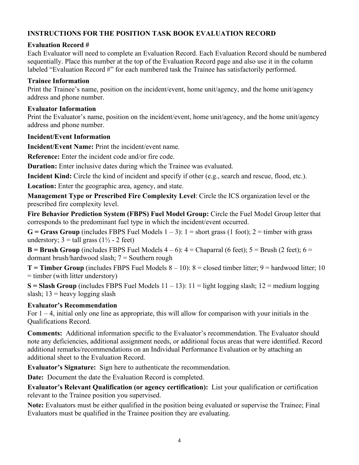#### **INSTRUCTIONS FOR THE POSITION TASK BOOK EVALUATION RECORD**

#### **Evaluation Record #**

Each Evaluator will need to complete an Evaluation Record. Each Evaluation Record should be numbered sequentially. Place this number at the top of the Evaluation Record page and also use it in the column labeled "Evaluation Record #" for each numbered task the Trainee has satisfactorily performed.

#### **Trainee Information**

Print the Trainee's name, position on the incident/event, home unit/agency, and the home unit/agency address and phone number.

#### **Evaluator Information**

Print the Evaluator's name, position on the incident/event, home unit/agency, and the home unit/agency address and phone number.

#### **Incident/Event Information**

**Incident/Event Name:** Print the incident/event name.

**Reference:** Enter the incident code and/or fire code.

**Duration:** Enter inclusive dates during which the Trainee was evaluated.

**Incident Kind:** Circle the kind of incident and specify if other (e.g., search and rescue, flood, etc.).

**Location:** Enter the geographic area, agency, and state.

**Management Type or Prescribed Fire Complexity Level**: Circle the ICS organization level or the prescribed fire complexity level.

**Fire Behavior Prediction System (FBPS) Fuel Model Group:** Circle the Fuel Model Group letter that corresponds to the predominant fuel type in which the incident/event occurred.

 $G =$  **Grass Group** (includes FBPS Fuel Models  $1 - 3$ ):  $1 =$  short grass (1 foot);  $2 =$  timber with grass understory;  $3 = \text{tall grass} (1\frac{1}{2} - 2 \text{ feet})$ 

**B** = **Brush Group** (includes FBPS Fuel Models  $4 - 6$ ):  $4 =$  Chaparral (6 feet);  $5 =$  Brush (2 feet);  $6 =$ dormant brush/hardwood slash; 7 = Southern rough

**T** = **Timber Group** (includes FBPS Fuel Models  $8 - 10$ ):  $8 =$  closed timber litter;  $9 =$  hardwood litter; 10 = timber (with litter understory)

 $S = S$ **lash Group** (includes FBPS Fuel Models  $11 - 13$ ):  $11 =$  light logging slash;  $12 =$  medium logging slash;  $13$  = heavy logging slash

#### **Evaluator's Recommendation**

For  $1 - 4$ , initial only one line as appropriate, this will allow for comparison with your initials in the Qualifications Record.

**Comments:** Additional information specific to the Evaluator's recommendation. The Evaluator should note any deficiencies, additional assignment needs, or additional focus areas that were identified. Record additional remarks/recommendations on an Individual Performance Evaluation or by attaching an additional sheet to the Evaluation Record.

**Evaluator's Signature:** Sign here to authenticate the recommendation.

**Date:** Document the date the Evaluation Record is completed.

**Evaluator's Relevant Qualification (or agency certification):** List your qualification or certification relevant to the Trainee position you supervised.

**Note:** Evaluators must be either qualified in the position being evaluated or supervise the Trainee; Final Evaluators must be qualified in the Trainee position they are evaluating.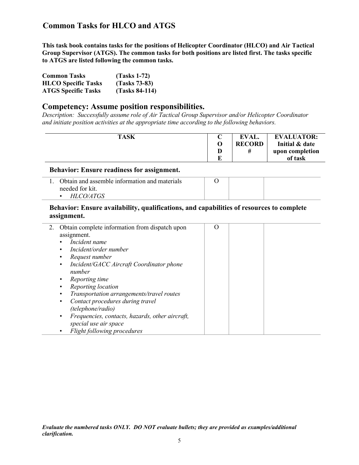**This task book contains tasks for the positions of Helicopter Coordinator (HLCO) and Air Tactical Group Supervisor (ATGS). The common tasks for both positions are listed first. The tasks specific to ATGS are listed following the common tasks.**

| <b>Common Tasks</b>        | $(Tasks 1-72)$   |
|----------------------------|------------------|
| <b>HLCO</b> Specific Tasks | $(Tasks 73-83)$  |
| <b>ATGS Specific Tasks</b> | $(Tasks 84-114)$ |

#### **Competency: Assume position responsibilities.**

*Description: Successfully assume role of Air Tactical Group Supervisor and/or Helicopter Coordinator and initiate position activities at the appropriate time according to the following behaviors.*

| <b>TASK</b> |   | EVAL.         | <b>EVALUATOR:</b> |
|-------------|---|---------------|-------------------|
|             |   | <b>RECORD</b> | Initial & date    |
|             |   |               | upon completion   |
|             | m |               | of task           |

#### **Behavior: Ensure readiness for assignment.**

| Obtain and assemble information and materials |  |  |
|-----------------------------------------------|--|--|
| needed for kit.                               |  |  |
| <i>HLCO/ATGS</i>                              |  |  |

#### **Behavior: Ensure availability, qualifications, and capabilities of resources to complete assignment.**

| 2. | Obtain complete information from dispatch upon               | O |  |
|----|--------------------------------------------------------------|---|--|
|    | assignment.                                                  |   |  |
|    | Incident name<br>$\bullet$                                   |   |  |
|    | Incident/order number<br>٠                                   |   |  |
|    | Request number<br>$\bullet$                                  |   |  |
|    | Incident/GACC Aircraft Coordinator phone<br>$\bullet$        |   |  |
|    | number                                                       |   |  |
|    | Reporting time<br>٠                                          |   |  |
|    | Reporting location                                           |   |  |
|    | Transportation arrangements/travel routes                    |   |  |
|    | Contact procedures during travel<br>$\bullet$                |   |  |
|    | (telephone/radio)                                            |   |  |
|    | Frequencies, contacts, hazards, other aircraft,<br>$\bullet$ |   |  |
|    | special use air space                                        |   |  |
|    | Flight following procedures<br>$\bullet$                     |   |  |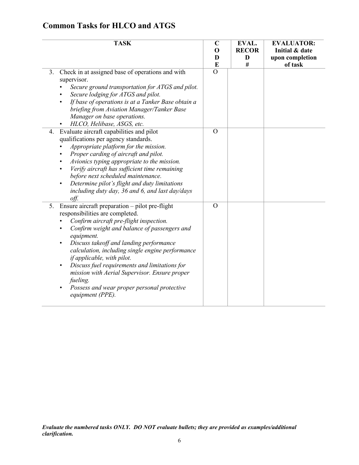| <b>TASK</b>                                                                                                                                                                                                                                                                                                                                                                                                                                                                                                                           | $\mathbf C$    | EVAL.        | <b>EVALUATOR:</b> |
|---------------------------------------------------------------------------------------------------------------------------------------------------------------------------------------------------------------------------------------------------------------------------------------------------------------------------------------------------------------------------------------------------------------------------------------------------------------------------------------------------------------------------------------|----------------|--------------|-------------------|
|                                                                                                                                                                                                                                                                                                                                                                                                                                                                                                                                       | O              | <b>RECOR</b> | Initial & date    |
|                                                                                                                                                                                                                                                                                                                                                                                                                                                                                                                                       | D              | D            | upon completion   |
|                                                                                                                                                                                                                                                                                                                                                                                                                                                                                                                                       | E              | #            | of task           |
| Check in at assigned base of operations and with<br>3.<br>supervisor.<br>Secure ground transportation for ATGS and pilot.<br>Secure lodging for ATGS and pilot.<br>If base of operations is at a Tanker Base obtain a<br>briefing from Aviation Manager/Tanker Base<br>Manager on base operations.<br>HLCO, Helibase, ASGS, etc.                                                                                                                                                                                                      | $\overline{O}$ |              |                   |
| Evaluate aircraft capabilities and pilot<br>4.<br>qualifications per agency standards.<br>Appropriate platform for the mission.<br>Proper carding of aircraft and pilot.<br>Avionics typing appropriate to the mission.<br>Verify aircraft has sufficient time remaining<br>before next scheduled maintenance.<br>Determine pilot's flight and duty limitations<br>$\bullet$<br>including duty day, 36 and 6, and last day/days<br>off.                                                                                               | $\overline{O}$ |              |                   |
| 5.<br>Ensure aircraft preparation - pilot pre-flight<br>responsibilities are completed.<br>Confirm aircraft pre-flight inspection.<br>Confirm weight and balance of passengers and<br>equipment.<br>Discuss takeoff and landing performance<br>٠<br>calculation, including single engine performance<br>if applicable, with pilot.<br>Discuss fuel requirements and limitations for<br>$\bullet$<br>mission with Aerial Supervisor. Ensure proper<br>fueling.<br>Possess and wear proper personal protective<br>٠<br>equipment (PPE). | $\overline{O}$ |              |                   |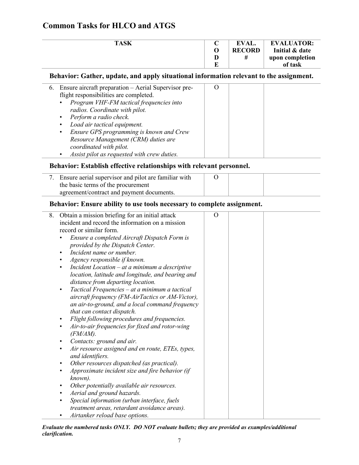| <b>EVAL.</b>  | <b>EVALUATOR:</b> |
|---------------|-------------------|
| <b>RECORD</b> | Initial & date    |
|               | upon completion   |
|               | of task           |
|               |                   |

### **Behavior: Gather, update, and apply situational information relevant to the assignment.**

| 6. Ensure aircraft preparation – Aerial Supervisor pre- |  |  |
|---------------------------------------------------------|--|--|
| flight responsibilities are completed.                  |  |  |
| Program VHF-FM tactical frequencies into<br>$\bullet$   |  |  |
| radios. Coordinate with pilot.                          |  |  |
| • Perform a radio check.                                |  |  |
| Load air tactical equipment.<br>$\bullet$               |  |  |
| Ensure GPS programming is known and Crew<br>$\bullet$   |  |  |
| Resource Management (CRM) duties are                    |  |  |
| coordinated with pilot.                                 |  |  |
| Assist pilot as requested with crew duties.             |  |  |

### **Behavior: Establish effective relationships with relevant personnel.**

### **Behavior: Ensure ability to use tools necessary to complete assignment.**

| 8. | Obtain a mission briefing for an initial attack             | $\overline{O}$ |  |  |
|----|-------------------------------------------------------------|----------------|--|--|
|    | incident and record the information on a mission            |                |  |  |
|    | record or similar form.                                     |                |  |  |
|    | Ensure a completed Aircraft Dispatch Form is                |                |  |  |
|    | provided by the Dispatch Center.                            |                |  |  |
|    | Incident name or number.                                    |                |  |  |
|    | Agency responsible if known.                                |                |  |  |
|    | Incident Location - at a minimum a descriptive<br>$\bullet$ |                |  |  |
|    | location, latitude and longitude, and bearing and           |                |  |  |
|    | distance from departing location.                           |                |  |  |
|    | Tactical Frequencies – at a minimum a tactical<br>٠         |                |  |  |
|    | aircraft frequency (FM-AirTactics or AM-Victor),            |                |  |  |
|    | an air-to-ground, and a local command frequency             |                |  |  |
|    | that can contact dispatch.                                  |                |  |  |
|    | Flight following procedures and frequencies.                |                |  |  |
|    | Air-to-air frequencies for fixed and rotor-wing             |                |  |  |
|    | $(FM/AM)$ .                                                 |                |  |  |
|    | Contacts: ground and air.                                   |                |  |  |
|    | Air resource assigned and en route, ETEs, types,            |                |  |  |
|    | and identifiers.                                            |                |  |  |
|    | Other resources dispatched (as practical).                  |                |  |  |
|    | Approximate incident size and fire behavior (if             |                |  |  |
|    | known).                                                     |                |  |  |
|    | Other potentially available air resources.                  |                |  |  |
|    | Aerial and ground hazards.                                  |                |  |  |
|    | Special information (urban interface, fuels                 |                |  |  |
|    | treatment areas, retardant avoidance areas).                |                |  |  |
|    | Airtanker reload base options.                              |                |  |  |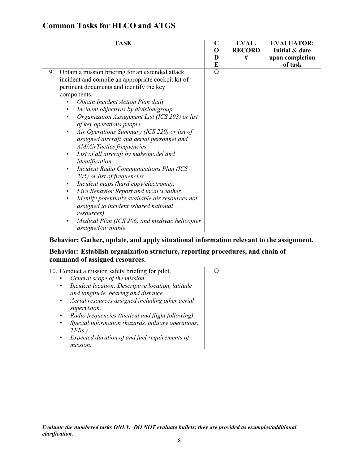| <b>TASK</b>                                                                                                                                                                                                                                                                                                                                                                                                                                                                                                                                                                                                                                                                                                                                                                                                                                                                                                                                                    | $\mathbf C$<br>O<br>D<br>E | EVAL.<br><b>RECORD</b><br># | <b>EVALUATOR:</b><br>Initial & date<br>upon completion<br>of task |
|----------------------------------------------------------------------------------------------------------------------------------------------------------------------------------------------------------------------------------------------------------------------------------------------------------------------------------------------------------------------------------------------------------------------------------------------------------------------------------------------------------------------------------------------------------------------------------------------------------------------------------------------------------------------------------------------------------------------------------------------------------------------------------------------------------------------------------------------------------------------------------------------------------------------------------------------------------------|----------------------------|-----------------------------|-------------------------------------------------------------------|
| Obtain a mission briefing for an extended attack<br>9.<br>incident and compile an appropriate cockpit kit of<br>pertinent documents and identify the key<br>components.<br>Obtain Incident Action Plan daily.<br>Incident objectives by division/group.<br>Organization Assignment List (ICS 203) or list<br>٠<br>of key operations people.<br>Air Operations Summary (ICS 220) or list of<br>$\bullet$<br>assigned aircraft and aerial personnel and<br>AM/AirTactics frequencies.<br>List of all aircraft by make/model and<br>$\bullet$<br>identification.<br><b>Incident Radio Communications Plan (ICS</b><br>205) or list of frequencies.<br>Incident maps (hard copy/electronic).<br>$\bullet$<br>Fire Behavior Report and local weather.<br>$\bullet$<br>Identify potentially available air resources not<br>$\bullet$<br>assigned to incident (shared national<br>resources).<br>Medical Plan (ICS 206) and medivac helicopter<br>assigned/available. | $\overline{O}$             |                             |                                                                   |

### **Behavior: Gather, update, and apply situational information relevant to the assignment.**

#### **Behavior: Establish organization structure, reporting procedures, and chain of command of assigned resources.**

| 10. Conduct a mission safety briefing for pilot.                | 0 |  |
|-----------------------------------------------------------------|---|--|
| General scope of the mission.                                   |   |  |
| Incident location: Descriptive location, latitude<br>$\bullet$  |   |  |
| and longitude, bearing and distance.                            |   |  |
| Aerial resources assigned including other aerial<br>٠           |   |  |
| supervision.                                                    |   |  |
| Radio frequencies (tactical and flight following).<br>$\bullet$ |   |  |
| Special information (hazards, military operations,<br>٠         |   |  |
| TFRs.)                                                          |   |  |
| Expected duration of and fuel requirements of                   |   |  |
| mission.                                                        |   |  |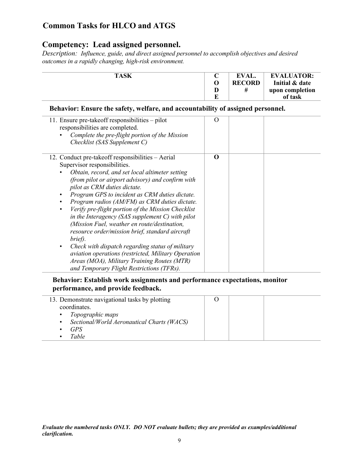### **Competency: Lead assigned personnel.**

*Description:**Influence, guide, and direct assigned personnel to accomplish objectives and desired outcomes in a rapidly changing, high-risk environment.*

| <b>TASK</b>                                                                                                                                                                                                                                                                                                                                                                                                                                                                                                                                                                                                                                                                                                                                                                                                     | $\mathbf C$<br>O | EVAL.<br><b>RECORD</b> | <b>EVALUATOR:</b><br>Initial & date |
|-----------------------------------------------------------------------------------------------------------------------------------------------------------------------------------------------------------------------------------------------------------------------------------------------------------------------------------------------------------------------------------------------------------------------------------------------------------------------------------------------------------------------------------------------------------------------------------------------------------------------------------------------------------------------------------------------------------------------------------------------------------------------------------------------------------------|------------------|------------------------|-------------------------------------|
|                                                                                                                                                                                                                                                                                                                                                                                                                                                                                                                                                                                                                                                                                                                                                                                                                 | D<br>E           | #                      | upon completion<br>of task          |
| Behavior: Ensure the safety, welfare, and accountability of assigned personnel.                                                                                                                                                                                                                                                                                                                                                                                                                                                                                                                                                                                                                                                                                                                                 |                  |                        |                                     |
| 11. Ensure pre-take off responsibilities - pilot<br>responsibilities are completed.<br>Complete the pre-flight portion of the Mission<br>Checklist (SAS Supplement C)                                                                                                                                                                                                                                                                                                                                                                                                                                                                                                                                                                                                                                           | $\Omega$         |                        |                                     |
| 12. Conduct pre-take of responsibilities – Aerial<br>Supervisor responsibilities.<br>Obtain, record, and set local altimeter setting<br>(from pilot or airport advisory) and confirm with<br>pilot as CRM duties dictate.<br>Program GPS to incident as CRM duties dictate.<br>$\bullet$<br>Program radios (AM/FM) as CRM duties dictate.<br>$\bullet$<br>Verify pre-flight portion of the Mission Checklist<br>$\bullet$<br>in the Interagency (SAS supplement C) with pilot<br>(Mission Fuel, weather en route/destination,<br>resource order/mission brief, standard aircraft<br>brief).<br>Check with dispatch regarding status of military<br>$\bullet$<br>aviation operations (restricted, Military Operation<br>Areas (MOA), Military Training Routes (MTR)<br>and Temporary Flight Restrictions (TFRs). | $\bf{0}$         |                        |                                     |

**Behavior: Establish work assignments and performance expectations, monitor performance, and provide feedback.**

| 13. Demonstrate navigational tasks by plotting |  |  |
|------------------------------------------------|--|--|
| coordinates.                                   |  |  |
| Topographic maps                               |  |  |
| Sectional/World Aeronautical Charts (WACS)     |  |  |
| <b>GPS</b>                                     |  |  |
| Table                                          |  |  |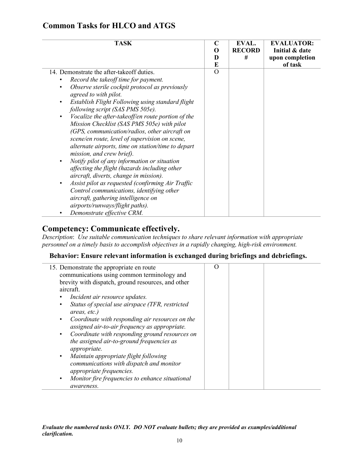| <b>TASK</b>                                                                                                                                                                                                                                                                                                                                                                                                                                                                                                         | $\mathbf C$<br>0<br>D<br>E | EVAL.<br><b>RECORD</b><br># | <b>EVALUATOR:</b><br>Initial & date<br>upon completion<br>of task |
|---------------------------------------------------------------------------------------------------------------------------------------------------------------------------------------------------------------------------------------------------------------------------------------------------------------------------------------------------------------------------------------------------------------------------------------------------------------------------------------------------------------------|----------------------------|-----------------------------|-------------------------------------------------------------------|
| 14. Demonstrate the after-take off duties.<br>Record the takeoff time for payment.<br>Observe sterile cockpit protocol as previously<br>agreed to with pilot.<br>Establish Flight Following using standard flight<br>following script (SAS PMS 505e).<br>Vocalize the after-takeoff/en route portion of the<br>Mission Checklist (SAS PMS 505e) with pilot<br>(GPS, communication/radios, other aircraft on<br>scene/en route, level of supervision on scene,<br>alternate airports, time on station/time to depart | $\Omega$                   |                             |                                                                   |
| mission, and crew brief).<br>Notify pilot of any information or situation<br>$\bullet$<br>affecting the flight (hazards including other<br>aircraft, diverts, change in mission).<br>Assist pilot as requested (confirming Air Traffic<br>Control communications, identifying other<br>aircraft, gathering intelligence on<br>airports/runways/flight paths).<br>Demonstrate effective CRM.                                                                                                                         |                            |                             |                                                                   |

# **Competency: Communicate effectively.**

*Description*: *Use suitable communication techniques to share relevant information with appropriate personnel on a timely basis to accomplish objectives in a rapidly changing, high-risk environment.*

#### **Behavior: Ensure relevant information is exchanged during briefings and debriefings.**

| 15. Demonstrate the appropriate en route<br>communications using common terminology and<br>brevity with dispatch, ground resources, and other<br>aircraft.<br>Incident air resource updates.<br>Status of special use airspace (TFR, restricted<br>٠<br>areas, etc.)<br>Coordinate with responding air resources on the<br>$\bullet$<br>assigned air-to-air frequency as appropriate.<br>Coordinate with responding ground resources on<br>$\bullet$<br>the assigned air-to-ground frequencies as<br><i>appropriate.</i><br>Maintain appropriate flight following<br>$\bullet$<br>communications with dispatch and monitor<br>appropriate frequencies. | $\Omega$ |  |  |
|--------------------------------------------------------------------------------------------------------------------------------------------------------------------------------------------------------------------------------------------------------------------------------------------------------------------------------------------------------------------------------------------------------------------------------------------------------------------------------------------------------------------------------------------------------------------------------------------------------------------------------------------------------|----------|--|--|
| Monitor fire frequencies to enhance situational<br>$\bullet$<br><i>awareness.</i>                                                                                                                                                                                                                                                                                                                                                                                                                                                                                                                                                                      |          |  |  |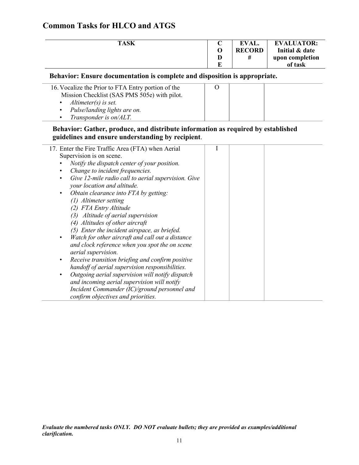| <b>TASK</b> | EVAL.         | <b>EVALUATOR:</b> |
|-------------|---------------|-------------------|
|             | <b>RECORD</b> | Initial & date    |
|             |               | upon completion   |
|             |               | of task           |

#### **Behavior: Ensure documentation is complete and disposition is appropriate.**

| 16. Vocalize the Prior to FTA Entry portion of the |  |  |
|----------------------------------------------------|--|--|
| Mission Checklist (SAS PMS 505e) with pilot.       |  |  |
| Altimeter(s) is set.                               |  |  |
| • Pulse/landing lights are on.                     |  |  |
| • Transponder is $on/ALT$ .                        |  |  |

#### **Behavior: Gather, produce, and distribute information as required by established guidelines and ensure understanding by recipient**.

| 17. Enter the Fire Traffic Area (FTA) when Aerial   |  |  |
|-----------------------------------------------------|--|--|
| Supervision is on scene.                            |  |  |
| Notify the dispatch center of your position.        |  |  |
| Change to incident frequencies.                     |  |  |
| Give 12-mile radio call to aerial supervision. Give |  |  |
| your location and altitude.                         |  |  |
| Obtain clearance into FTA by getting:               |  |  |
| (1) Altimeter setting                               |  |  |
| (2) FTA Entry Altitude                              |  |  |
| Altitude of aerial supervision<br>(3)               |  |  |
| (4) Altitudes of other aircraft                     |  |  |
| (5) Enter the incident airspace, as briefed.        |  |  |
| Watch for other aircraft and call out a distance    |  |  |
| and clock reference when you spot the on scene      |  |  |
| aerial supervision.                                 |  |  |
| Receive transition briefing and confirm positive    |  |  |
| handoff of aerial supervision responsibilities.     |  |  |
| Outgoing aerial supervision will notify dispatch    |  |  |
| and incoming aerial supervision will notify         |  |  |
| Incident Commander (IC)/ground personnel and        |  |  |
| confirm objectives and priorities.                  |  |  |
|                                                     |  |  |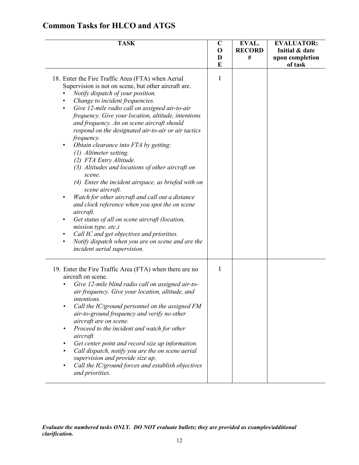| <b>TASK</b>                                                                                                                                                                                                                                                                                                                                                                                                                                                                                                                                                                                                                                                                                                                                                                                                                                                                                                                                                                                                                    | $\mathbf C$<br>$\mathbf 0$<br>D | EVAL.<br><b>RECORD</b><br># | <b>EVALUATOR:</b><br>Initial & date<br>upon completion |
|--------------------------------------------------------------------------------------------------------------------------------------------------------------------------------------------------------------------------------------------------------------------------------------------------------------------------------------------------------------------------------------------------------------------------------------------------------------------------------------------------------------------------------------------------------------------------------------------------------------------------------------------------------------------------------------------------------------------------------------------------------------------------------------------------------------------------------------------------------------------------------------------------------------------------------------------------------------------------------------------------------------------------------|---------------------------------|-----------------------------|--------------------------------------------------------|
| 18. Enter the Fire Traffic Area (FTA) when Aerial<br>Supervision is not on scene, but other aircraft are.<br>Notify dispatch of your position.<br>Change to incident frequencies.<br>$\bullet$<br>Give 12-mile radio call on assigned air-to-air<br>٠<br>frequency. Give your location, altitude, intentions<br>and frequency. An on scene aircraft should<br>respond on the designated air-to-air or air tactics<br>frequency.<br>Obtain clearance into FTA by getting:<br>(1) Altimeter setting.<br>(2) FTA Entry Altitude.<br>(3) Altitudes and locations of other aircraft on<br>scene.<br>(4) Enter the incident airspace, as briefed with on<br>scene aircraft.<br>Watch for other aircraft and call out a distance<br>and clock reference when you spot the on scene<br>aircraft.<br>Get status of all on scene aircraft (location,<br>$\bullet$<br>mission type, etc.)<br>Call IC and get objectives and priorities.<br>$\bullet$<br>Notify dispatch when you are on scene and are the<br>incident aerial supervision. | E<br>I                          |                             | of task                                                |
| 19. Enter the Fire Traffic Area (FTA) when there are no<br>aircraft on scene.<br>Give 12-mile blind radio call on assigned air-to-<br>air frequency. Give your location, altitude, and<br>intentions.<br>Call the IC/ground personnel on the assigned FM<br>air-to-ground frequency and verify no other<br>aircraft are on scene.<br>Proceed to the incident and watch for other<br>$\bullet$<br>aircraft.<br>Get center point and record size up information.<br>$\bullet$<br>Call dispatch, notify you are the on scene aerial<br>$\bullet$<br>supervision and provide size up.<br>Call the IC/ground forces and establish objectives<br>٠<br>and priorities.                                                                                                                                                                                                                                                                                                                                                                | I                               |                             |                                                        |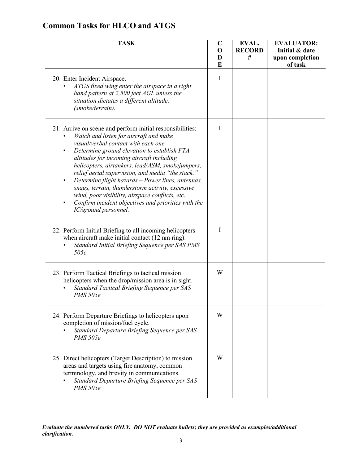| <b>TASK</b>                                                                                                                                                                                                                                                                                                                                                                                                                                                                                                                                                                                                                        | $\mathbf C$<br>$\mathbf 0$<br>D | EVAL.<br><b>RECORD</b><br># | <b>EVALUATOR:</b><br>Initial & date<br>upon completion |
|------------------------------------------------------------------------------------------------------------------------------------------------------------------------------------------------------------------------------------------------------------------------------------------------------------------------------------------------------------------------------------------------------------------------------------------------------------------------------------------------------------------------------------------------------------------------------------------------------------------------------------|---------------------------------|-----------------------------|--------------------------------------------------------|
|                                                                                                                                                                                                                                                                                                                                                                                                                                                                                                                                                                                                                                    | E                               |                             | of task                                                |
| 20. Enter Incident Airspace.<br>ATGS fixed wing enter the airspace in a right<br>hand pattern at 2,500 feet AGL unless the<br>situation dictates a different altitude.<br>(smoke/terrain).                                                                                                                                                                                                                                                                                                                                                                                                                                         | $\mathbf I$                     |                             |                                                        |
| 21. Arrive on scene and perform initial responsibilities:<br>Watch and listen for aircraft and make<br>visual/verbal contact with each one.<br>Determine ground elevation to establish FTA<br>$\bullet$<br>altitudes for incoming aircraft including<br>helicopters, airtankers, lead/ASM, smokejumpers,<br>relief aerial supervision, and media "the stack."<br>Determine flight hazards - Power lines, antennas,<br>$\bullet$<br>snags, terrain, thunderstorm activity, excessive<br>wind, poor visibility, airspace conflicts, etc.<br>Confirm incident objectives and priorities with the<br>$\bullet$<br>IC/ground personnel. | I                               |                             |                                                        |
| 22. Perform Initial Briefing to all incoming helicopters<br>when aircraft make initial contact (12 nm ring).<br>Standard Initial Briefing Sequence per SAS PMS<br>505e                                                                                                                                                                                                                                                                                                                                                                                                                                                             | I                               |                             |                                                        |
| 23. Perform Tactical Briefings to tactical mission<br>helicopters when the drop/mission area is in sight.<br>Standard Tactical Briefing Sequence per SAS<br><b>PMS</b> 505e                                                                                                                                                                                                                                                                                                                                                                                                                                                        | W                               |                             |                                                        |
| 24. Perform Departure Briefings to helicopters upon<br>completion of mission/fuel cycle.<br>Standard Departure Briefing Sequence per SAS<br><b>PMS</b> 505e                                                                                                                                                                                                                                                                                                                                                                                                                                                                        | W                               |                             |                                                        |
| 25. Direct helicopters (Target Description) to mission<br>areas and targets using fire anatomy, common<br>terminology, and brevity in communications.<br>Standard Departure Briefing Sequence per SAS<br><b>PMS</b> 505e                                                                                                                                                                                                                                                                                                                                                                                                           | W                               |                             |                                                        |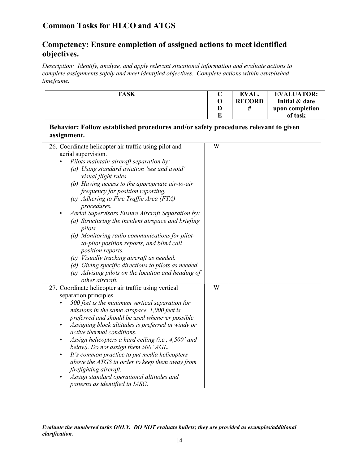### **Competency: Ensure completion of assigned actions to meet identified objectives.**

*Description: Identify, analyze, and apply relevant situational information and evaluate actions to complete assignments safely and meet identified objectives. Complete actions within established timeframe.*

| <b>TASK</b> |   | <b>EVAL.</b>  | <b>EVALUATOR:</b> |
|-------------|---|---------------|-------------------|
|             |   | <b>RECORD</b> | Initial & date    |
|             | D | #             | upon completion   |
|             | в |               | of task           |

#### **Behavior: Follow established procedures and/or safety procedures relevant to given assignment.**

| 26. Coordinate helicopter air traffic using pilot and            | W |  |
|------------------------------------------------------------------|---|--|
| aerial supervision.                                              |   |  |
| Pilots maintain aircraft separation by:                          |   |  |
| (a) Using standard aviation 'see and avoid'                      |   |  |
| visual flight rules.                                             |   |  |
| (b) Having access to the appropriate air-to-air                  |   |  |
| frequency for position reporting.                                |   |  |
| (c) Adhering to Fire Traffic Area (FTA)                          |   |  |
| procedures.                                                      |   |  |
| Aerial Supervisors Ensure Aircraft Separation by:<br>$\bullet$   |   |  |
| (a) Structuring the incident airspace and briefing               |   |  |
| pilots.                                                          |   |  |
| (b) Monitoring radio communications for pilot-                   |   |  |
| to-pilot position reports, and blind call                        |   |  |
| position reports.                                                |   |  |
| (c) Visually tracking aircraft as needed.                        |   |  |
| (d) Giving specific directions to pilots as needed.              |   |  |
| (e) Advising pilots on the location and heading of               |   |  |
| other aircraft.                                                  |   |  |
| 27. Coordinate helicopter air traffic using vertical             | W |  |
| separation principles.                                           |   |  |
| 500 feet is the minimum vertical separation for                  |   |  |
| missions in the same airspace. $1,000$ feet is                   |   |  |
| preferred and should be used whenever possible.                  |   |  |
| Assigning block altitudes is preferred in windy or<br>$\bullet$  |   |  |
| active thermal conditions.                                       |   |  |
| Assign helicopters a hard ceiling (i.e., 4,500' and<br>$\bullet$ |   |  |
| below). Do not assign them 500' AGL.                             |   |  |
| It's common practice to put media helicopters<br>$\bullet$       |   |  |
| above the ATGS in order to keep them away from                   |   |  |
| firefighting aircraft.                                           |   |  |
| Assign standard operational altitudes and<br>$\bullet$           |   |  |
| patterns as identified in IASG.                                  |   |  |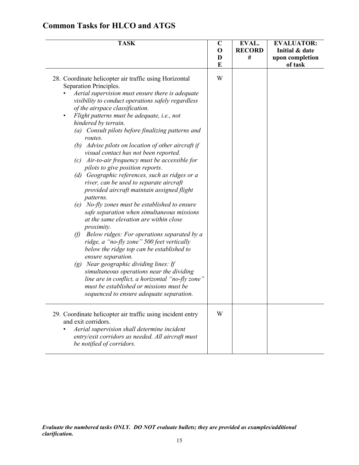| <b>TASK</b>                                                                                                                                                                                                                                                                                                                                                                                                                                                                                                                                                                                                                                                                                                                                                                                                                                                                                                                                                                                                                                                                                                                                                                                                                                                                                                | $\mathbf C$<br>$\mathbf 0$ | EVAL.<br><b>RECORD</b><br># | <b>EVALUATOR:</b><br>Initial & date |
|------------------------------------------------------------------------------------------------------------------------------------------------------------------------------------------------------------------------------------------------------------------------------------------------------------------------------------------------------------------------------------------------------------------------------------------------------------------------------------------------------------------------------------------------------------------------------------------------------------------------------------------------------------------------------------------------------------------------------------------------------------------------------------------------------------------------------------------------------------------------------------------------------------------------------------------------------------------------------------------------------------------------------------------------------------------------------------------------------------------------------------------------------------------------------------------------------------------------------------------------------------------------------------------------------------|----------------------------|-----------------------------|-------------------------------------|
|                                                                                                                                                                                                                                                                                                                                                                                                                                                                                                                                                                                                                                                                                                                                                                                                                                                                                                                                                                                                                                                                                                                                                                                                                                                                                                            | D<br>E                     |                             | upon completion<br>of task          |
| 28. Coordinate helicopter air traffic using Horizontal<br>Separation Principles.<br>Aerial supervision must ensure there is adequate<br>visibility to conduct operations safely regardless<br>of the airspace classification.<br>Flight patterns must be adequate, i.e., not<br>$\bullet$<br>hindered by terrain.<br>(a) Consult pilots before finalizing patterns and<br>routes.<br>(b) Advise pilots on location of other aircraft if<br>visual contact has not been reported.<br>(c) Air-to-air frequency must be accessible for<br>pilots to give position reports.<br>(d) Geographic references, such as ridges or a<br>river, can be used to separate aircraft<br>provided aircraft maintain assigned flight<br>patterns.<br>No-fly zones must be established to ensure<br>(e)<br>safe separation when simultaneous missions<br>at the same elevation are within close<br>proximity.<br>Below ridges: For operations separated by a<br>$\theta$<br>ridge, a "no-fly zone" 500 feet vertically<br>below the ridge top can be established to<br>ensure separation.<br>$(g)$ Near geographic dividing lines: If<br>simultaneous operations near the dividing<br>line are in conflict, a horizontal "no-fly zone"<br>must be established or missions must be<br>sequenced to ensure adequate separation. | W                          |                             |                                     |
| 29. Coordinate helicopter air traffic using incident entry<br>and exit corridors.<br>Aerial supervision shall determine incident<br>entry/exit corridors as needed. All aircraft must<br>be notified of corridors.                                                                                                                                                                                                                                                                                                                                                                                                                                                                                                                                                                                                                                                                                                                                                                                                                                                                                                                                                                                                                                                                                         | W                          |                             |                                     |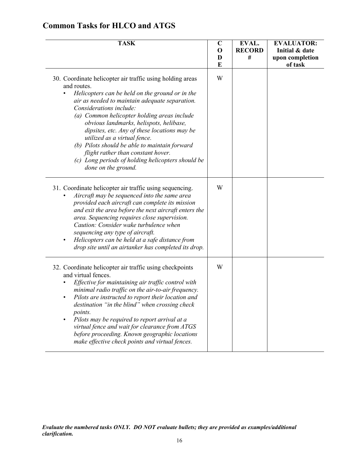| <b>TASK</b>                                                                                                                                                                                                                                                                                                                                                                                                                                                                                                                                           | $\mathbf C$<br>$\mathbf 0$<br>D<br>E | EVAL.<br><b>RECORD</b><br># | <b>EVALUATOR:</b><br>Initial & date<br>upon completion<br>of task |
|-------------------------------------------------------------------------------------------------------------------------------------------------------------------------------------------------------------------------------------------------------------------------------------------------------------------------------------------------------------------------------------------------------------------------------------------------------------------------------------------------------------------------------------------------------|--------------------------------------|-----------------------------|-------------------------------------------------------------------|
| 30. Coordinate helicopter air traffic using holding areas<br>and routes.<br>Helicopters can be held on the ground or in the<br>air as needed to maintain adequate separation.<br>Considerations include:<br>(a) Common helicopter holding areas include<br>obvious landmarks, helispots, helibase,<br>dipsites, etc. Any of these locations may be<br>utilized as a virtual fence.<br>(b) Pilots should be able to maintain forward<br>flight rather than constant hover.<br>(c) Long periods of holding helicopters should be<br>done on the ground. | W                                    |                             |                                                                   |
| 31. Coordinate helicopter air traffic using sequencing.<br>Aircraft may be sequenced into the same area<br>provided each aircraft can complete its mission<br>and exit the area before the next aircraft enters the<br>area. Sequencing requires close supervision.<br>Caution: Consider wake turbulence when<br>sequencing any type of aircraft.<br>Helicopters can be held at a safe distance from<br>drop site until an airtanker has completed its drop.                                                                                          | W                                    |                             |                                                                   |
| 32. Coordinate helicopter air traffic using checkpoints<br>and virtual fences.<br>Effective for maintaining air traffic control with<br>minimal radio traffic on the air-to-air frequency.<br>Pilots are instructed to report their location and<br>destination "in the blind" when crossing check<br>points.<br>Pilots may be required to report arrival at a<br>virtual fence and wait for clearance from ATGS<br>before proceeding. Known geographic locations<br>make effective check points and virtual fences.                                  | W                                    |                             |                                                                   |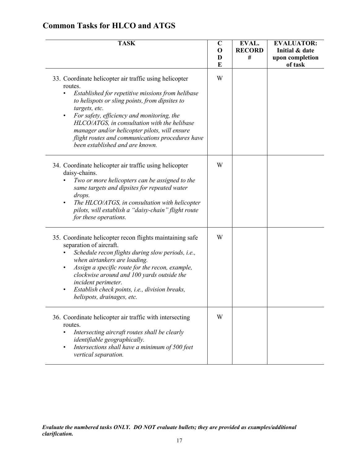| <b>TASK</b>                                                                                                                                                                                                                                                                                                                                                                                                                                  | $\mathbf C$<br>$\mathbf 0$<br>D<br>E | EVAL.<br><b>RECORD</b><br># | <b>EVALUATOR:</b><br>Initial & date<br>upon completion<br>of task |
|----------------------------------------------------------------------------------------------------------------------------------------------------------------------------------------------------------------------------------------------------------------------------------------------------------------------------------------------------------------------------------------------------------------------------------------------|--------------------------------------|-----------------------------|-------------------------------------------------------------------|
| 33. Coordinate helicopter air traffic using helicopter<br>routes.<br>Established for repetitive missions from helibase<br>to helispots or sling points, from dipsites to<br>targets, etc.<br>For safety, efficiency and monitoring, the<br>$\bullet$<br>HLCO/ATGS, in consultation with the helibase<br>manager and/or helicopter pilots, will ensure<br>flight routes and communications procedures have<br>been established and are known. | W                                    |                             |                                                                   |
| 34. Coordinate helicopter air traffic using helicopter<br>daisy-chains.<br>Two or more helicopters can be assigned to the<br>same targets and dipsites for repeated water<br>drops.<br>The HLCO/ATGS, in consultation with helicopter<br>pilots, will establish a "daisy-chain" flight route<br>for these operations.                                                                                                                        | W                                    |                             |                                                                   |
| 35. Coordinate helicopter recon flights maintaining safe<br>separation of aircraft.<br>Schedule recon flights during slow periods, i.e.,<br>when airtankers are loading.<br>Assign a specific route for the recon, example,<br>٠<br>clockwise around and 100 yards outside the<br>incident perimeter.<br>Establish check points, i.e., division breaks,<br>٠<br>helispots, drainages, etc.                                                   | W                                    |                             |                                                                   |
| 36. Coordinate helicopter air traffic with intersecting<br>routes.<br>Intersecting aircraft routes shall be clearly<br>identifiable geographically.<br>Intersections shall have a minimum of 500 feet<br>$\bullet$<br>vertical separation.                                                                                                                                                                                                   | W                                    |                             |                                                                   |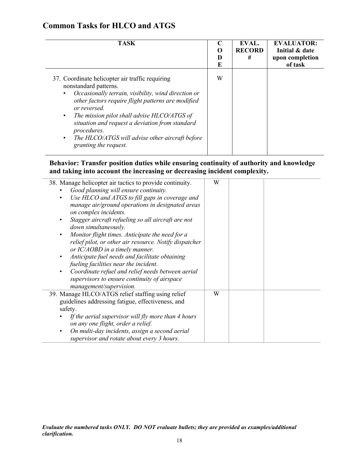| <b>TASK</b>                                                                                                                                                                                                                                                                                                                                                                                                                               | O<br>E | EVAL.<br><b>RECORD</b><br># | <b>EVALUATOR:</b><br>Initial & date<br>upon completion<br>of task |
|-------------------------------------------------------------------------------------------------------------------------------------------------------------------------------------------------------------------------------------------------------------------------------------------------------------------------------------------------------------------------------------------------------------------------------------------|--------|-----------------------------|-------------------------------------------------------------------|
| 37. Coordinate helicopter air traffic requiring<br>nonstandard patterns.<br>Occasionally terrain, visibility, wind direction or<br>$\bullet$<br>other factors require flight patterns are modified<br>or reversed.<br>The mission pilot shall advise HLCO/ATGS of<br>$\bullet$<br>situation and request a deviation from standard<br>procedures.<br>The HLCO/ATGS will advise other aircraft before<br>$\bullet$<br>granting the request. | W      |                             |                                                                   |

Í.

**Behavior: Transfer position duties while ensuring continuity of authority and knowledge and taking into account the increasing or decreasing incident complexity.**

| 38. Manage helicopter air tactics to provide continuity. | W |  |  |
|----------------------------------------------------------|---|--|--|
| Good planning will ensure continuity.                    |   |  |  |
| Use HLCO and ATGS to fill gaps in coverage and<br>٠      |   |  |  |
| manage air/ground operations in designated areas         |   |  |  |
| on complex incidents.                                    |   |  |  |
| Stagger aircraft refueling so all aircraft are not<br>٠  |   |  |  |
| down simultaneously.                                     |   |  |  |
| Monitor flight times. Anticipate the need for a<br>٠     |   |  |  |
| relief pilot, or other air resource. Notify dispatcher   |   |  |  |
| or IC/AOBD in a timely manner.                           |   |  |  |
| Anticipate fuel needs and facilitate obtaining<br>٠      |   |  |  |
| fueling facilities near the incident.                    |   |  |  |
| Coordinate refuel and relief needs between aerial<br>٠   |   |  |  |
| supervisors to ensure continuity of airspace             |   |  |  |
| management/supervision.                                  |   |  |  |
| 39. Manage HLCO/ATGS relief staffing using relief        | W |  |  |
| guidelines addressing fatigue, effectiveness, and        |   |  |  |
|                                                          |   |  |  |
| safety.                                                  |   |  |  |
| If the aerial supervisor will fly more than 4 hours      |   |  |  |
| on any one flight, order a relief.                       |   |  |  |
| On multi-day incidents, assign a second aerial<br>٠      |   |  |  |
| supervisor and rotate about every 3 hours.               |   |  |  |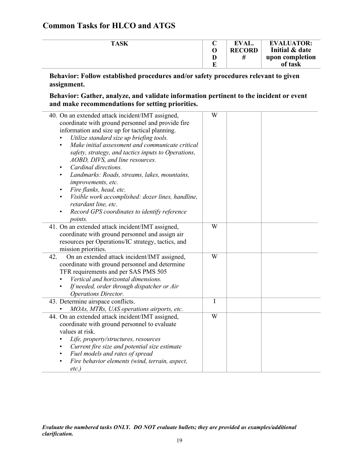Í,

| <b>TASK</b> | <b>EVAL.</b>  | <b>EVALUATOR:</b> |
|-------------|---------------|-------------------|
|             | <b>RECORD</b> | Initial & date    |
|             | #             | upon completion   |
|             |               | of task           |

**Behavior: Follow established procedures and/or safety procedures relevant to given assignment.**

**Behavior: Gather, analyze, and validate information pertinent to the incident or event and make recommendations for setting priorities.**

| 40. On an extended attack incident/IMT assigned,<br>coordinate with ground personnel and provide fire<br>information and size up for tactical planning.<br>Utilize standard size up briefing tools.<br>Make initial assessment and communicate critical<br>$\bullet$<br>safety, strategy, and tactics inputs to Operations,<br>AOBD, DIVS, and line resources.<br>Cardinal directions.<br>Landmarks: Roads, streams, lakes, mountains,<br>improvements, etc.<br>Fire flanks, head, etc.<br>Visible work accomplished: dozer lines, handline,<br>retardant line, etc.<br>Record GPS coordinates to identify reference<br><i>points.</i> | W |  |
|----------------------------------------------------------------------------------------------------------------------------------------------------------------------------------------------------------------------------------------------------------------------------------------------------------------------------------------------------------------------------------------------------------------------------------------------------------------------------------------------------------------------------------------------------------------------------------------------------------------------------------------|---|--|
| 41. On an extended attack incident/IMT assigned,<br>coordinate with ground personnel and assign air<br>resources per Operations/IC strategy, tactics, and<br>mission priorities.                                                                                                                                                                                                                                                                                                                                                                                                                                                       | W |  |
| 42.<br>On an extended attack incident/IMT assigned,<br>coordinate with ground personnel and determine<br>TFR requirements and per SAS PMS 505<br>Vertical and horizontal dimensions.<br>If needed, order through dispatcher or Air<br><b>Operations Director.</b>                                                                                                                                                                                                                                                                                                                                                                      | W |  |
| 43. Determine airspace conflicts.<br>MOAs, MTRs, UAS operations airports, etc.                                                                                                                                                                                                                                                                                                                                                                                                                                                                                                                                                         | I |  |
| 44. On an extended attack incident/IMT assigned,<br>coordinate with ground personnel to evaluate<br>values at risk.<br>Life, property/structures, resources<br>Current fire size and potential size estimate<br>Fuel models and rates of spread<br>Fire behavior elements (wind, terrain, aspect,<br>$etc.$ )                                                                                                                                                                                                                                                                                                                          | W |  |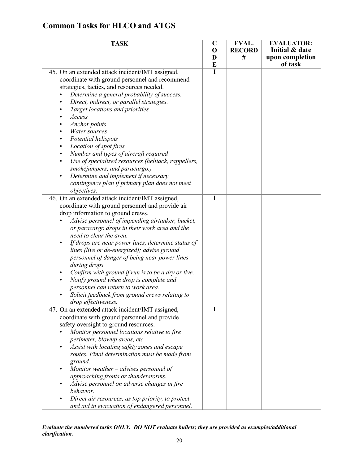| <b>TASK</b>                                                                                          | $\mathbf C$ | EVAL.              | <b>EVALUATOR:</b>          |
|------------------------------------------------------------------------------------------------------|-------------|--------------------|----------------------------|
|                                                                                                      | $\mathbf 0$ | <b>RECORD</b><br># | Initial & date             |
|                                                                                                      | D<br>E      |                    | upon completion<br>of task |
| 45. On an extended attack incident/IMT assigned,                                                     | T           |                    |                            |
| coordinate with ground personnel and recommend                                                       |             |                    |                            |
| strategies, tactics, and resources needed.                                                           |             |                    |                            |
| Determine a general probability of success.                                                          |             |                    |                            |
| Direct, indirect, or parallel strategies.                                                            |             |                    |                            |
| Target locations and priorities                                                                      |             |                    |                            |
| Access                                                                                               |             |                    |                            |
| Anchor points                                                                                        |             |                    |                            |
| Water sources                                                                                        |             |                    |                            |
| Potential helispots                                                                                  |             |                    |                            |
| Location of spot fires<br>$\bullet$                                                                  |             |                    |                            |
| Number and types of aircraft required                                                                |             |                    |                            |
| Use of specialized resources (helitack, rappellers,                                                  |             |                    |                            |
| smokejumpers, and paracargo.)                                                                        |             |                    |                            |
| Determine and implement if necessary<br>$\bullet$                                                    |             |                    |                            |
| contingency plan if primary plan does not meet                                                       |             |                    |                            |
| objectives.                                                                                          | I           |                    |                            |
| 46. On an extended attack incident/IMT assigned,<br>coordinate with ground personnel and provide air |             |                    |                            |
| drop information to ground crews.                                                                    |             |                    |                            |
| Advise personnel of impending airtanker, bucket,                                                     |             |                    |                            |
| or paracargo drops in their work area and the                                                        |             |                    |                            |
| need to clear the area.                                                                              |             |                    |                            |
| If drops are near power lines, determine status of<br>$\bullet$                                      |             |                    |                            |
| lines (live or de-energized); advise ground                                                          |             |                    |                            |
| personnel of danger of being near power lines                                                        |             |                    |                            |
| during drops.                                                                                        |             |                    |                            |
| Confirm with ground if run is to be a dry or live.                                                   |             |                    |                            |
| Notify ground when drop is complete and                                                              |             |                    |                            |
| personnel can return to work area.                                                                   |             |                    |                            |
| Solicit feedback from ground crews relating to                                                       |             |                    |                            |
| drop effectiveness.                                                                                  |             |                    |                            |
| 47. On an extended attack incident/IMT assigned,                                                     | I           |                    |                            |
| coordinate with ground personnel and provide                                                         |             |                    |                            |
| safety oversight to ground resources.                                                                |             |                    |                            |
| Monitor personnel locations relative to fire                                                         |             |                    |                            |
| perimeter, blowup areas, etc.                                                                        |             |                    |                            |
| Assist with locating safety zones and escape<br>routes. Final determination must be made from        |             |                    |                            |
| ground.                                                                                              |             |                    |                            |
| Monitor weather $-$ advises personnel of                                                             |             |                    |                            |
| approaching fronts or thunderstorms.                                                                 |             |                    |                            |
| Advise personnel on adverse changes in fire                                                          |             |                    |                            |
| behavior.                                                                                            |             |                    |                            |
| Direct air resources, as top priority, to protect                                                    |             |                    |                            |
| and aid in evacuation of endangered personnel.                                                       |             |                    |                            |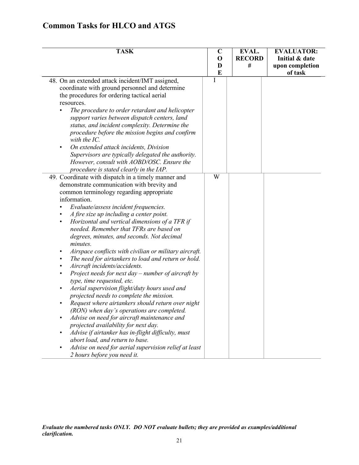|  |  |  |  | <b>Common Tasks for HLCO and ATGS</b> |
|--|--|--|--|---------------------------------------|
|--|--|--|--|---------------------------------------|

| <b>TASK</b>                                                                                                                                                                                                                                                                                                                                                                                                                                                                                                                                                                                                                                                                                                                                                                                                                                                                                                                                                                                                                                                                                                                                                                                                                                             | $\mathbf C$<br>$\mathbf 0$<br>D<br>E | EVAL.<br><b>RECORD</b><br># | <b>EVALUATOR:</b><br>Initial & date<br>upon completion<br>of task |
|---------------------------------------------------------------------------------------------------------------------------------------------------------------------------------------------------------------------------------------------------------------------------------------------------------------------------------------------------------------------------------------------------------------------------------------------------------------------------------------------------------------------------------------------------------------------------------------------------------------------------------------------------------------------------------------------------------------------------------------------------------------------------------------------------------------------------------------------------------------------------------------------------------------------------------------------------------------------------------------------------------------------------------------------------------------------------------------------------------------------------------------------------------------------------------------------------------------------------------------------------------|--------------------------------------|-----------------------------|-------------------------------------------------------------------|
| 48. On an extended attack incident/IMT assigned,<br>coordinate with ground personnel and determine<br>the procedures for ordering tactical aerial<br>resources.<br>The procedure to order retardant and helicopter<br>support varies between dispatch centers, land<br>status, and incident complexity. Determine the<br>procedure before the mission begins and confirm<br>with the IC.<br>On extended attack incidents, Division<br>Supervisors are typically delegated the authority.<br>However, consult with AOBD/OSC. Ensure the                                                                                                                                                                                                                                                                                                                                                                                                                                                                                                                                                                                                                                                                                                                  | I                                    |                             |                                                                   |
| procedure is stated clearly in the IAP.<br>49. Coordinate with dispatch in a timely manner and<br>demonstrate communication with brevity and<br>common terminology regarding appropriate<br>information.<br>Evaluate/assess incident frequencies.<br>$\bullet$<br>A fire size up including a center point.<br>Horizontal and vertical dimensions of a TFR if<br>$\bullet$<br>needed. Remember that TFRs are based on<br>degrees, minutes, and seconds. Not decimal<br>minutes.<br>Airspace conflicts with civilian or military aircraft.<br>$\bullet$<br>The need for airtankers to load and return or hold.<br>$\bullet$<br>Aircraft incidents/accidents.<br>٠<br>Project needs for next day $-$ number of aircraft by<br>$\bullet$<br>type, time requested, etc.<br>Aerial supervision flight/duty hours used and<br>projected needs to complete the mission.<br>Request where airtankers should return over night<br>(RON) when day's operations are completed.<br>Advise on need for aircraft maintenance and<br>projected availability for next day.<br>Advise if airtanker has in-flight difficulty, must<br>$\bullet$<br>abort load, and return to base.<br>Advise on need for aerial supervision relief at least<br>2 hours before you need it. | W                                    |                             |                                                                   |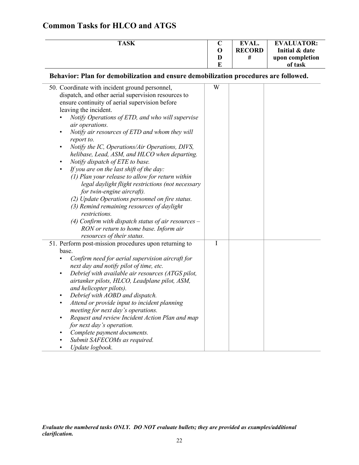| <b>TASK</b> |   | <b>EVAL.</b>  | <b>EVALUATOR:</b> |
|-------------|---|---------------|-------------------|
|             |   | <b>RECORD</b> | Initial & date    |
|             | D | #             | upon completion   |
|             | г |               | of task           |

 $\overline{\phantom{a}}$ 

**Behavior: Plan for demobilization and ensure demobilization procedures are followed.**

| 50. Coordinate with incident ground personnel,                                                     | W |  |
|----------------------------------------------------------------------------------------------------|---|--|
| dispatch, and other aerial supervision resources to                                                |   |  |
| ensure continuity of aerial supervision before                                                     |   |  |
| leaving the incident.                                                                              |   |  |
| Notify Operations of ETD, and who will supervise<br>air operations.                                |   |  |
| Notify air resources of ETD and whom they will<br>$\bullet$                                        |   |  |
| report to.                                                                                         |   |  |
| Notify the IC, Operations/Air Operations, DIVS,<br>$\bullet$                                       |   |  |
| helibase, Lead, ASM, and HLCO when departing.                                                      |   |  |
| Notify dispatch of ETE to base.<br>$\bullet$                                                       |   |  |
| If you are on the last shift of the day:<br>$\bullet$                                              |   |  |
| (1) Plan your release to allow for return within                                                   |   |  |
| legal daylight flight restrictions (not necessary                                                  |   |  |
| for twin-engine aircraft).                                                                         |   |  |
| (2) Update Operations personnel on fire status.                                                    |   |  |
| (3) Remind remaining resources of daylight                                                         |   |  |
| restrictions.                                                                                      |   |  |
| (4) Confirm with dispatch status of air resources $-$                                              |   |  |
| RON or return to home base. Inform air                                                             |   |  |
| resources of their status.                                                                         |   |  |
| 51. Perform post-mission procedures upon returning to                                              | I |  |
| base.                                                                                              |   |  |
| Confirm need for aerial supervision aircraft for                                                   |   |  |
| next day and notify pilot of time, etc.                                                            |   |  |
| Debrief with available air resources (ATGS pilot,<br>$\bullet$                                     |   |  |
| airtanker pilots, HLCO, Leadplane pilot, ASM,                                                      |   |  |
| and helicopter pilots).                                                                            |   |  |
| Debrief with AOBD and dispatch.<br>$\bullet$<br>$\bullet$                                          |   |  |
| Attend or provide input to incident planning                                                       |   |  |
| meeting for next day's operations.<br>Request and review Incident Action Plan and map<br>$\bullet$ |   |  |
| for next day's operation.                                                                          |   |  |
| Complete payment documents.                                                                        |   |  |
| Submit SAFECOMs as required.                                                                       |   |  |
| Update logbook.                                                                                    |   |  |
|                                                                                                    |   |  |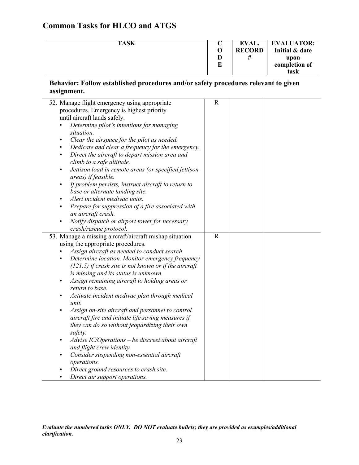| <b>TASK</b> |   | EVAL.         | <b>EVALUATOR:</b> |
|-------------|---|---------------|-------------------|
|             | O | <b>RECORD</b> | Initial & date    |
|             | D | #             | upon              |
|             | E |               | completion of     |
|             |   |               | task              |

#### **Behavior: Follow established procedures and/or safety procedures relevant to given assignment.**

| Dedicate and clear a frequency for the emergency.<br>Determine location. Monitor emergency frequency | $\mathbf R$<br>$\mathbf R$ |  |
|------------------------------------------------------------------------------------------------------|----------------------------|--|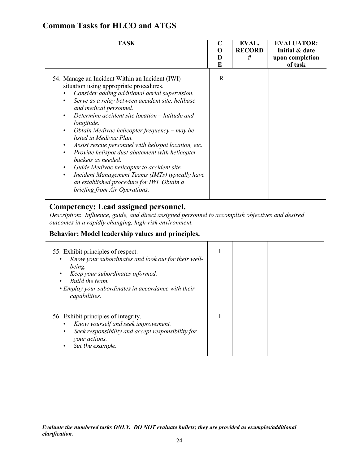| <b>TASK</b>                                                                                                                                                                                                                                                                                                                                                                                                                                                                                                                                                                                                                                                                                                                                                           | C<br>O<br>D<br>E | EVAL.<br><b>RECORD</b><br># | <b>EVALUATOR:</b><br>Initial & date<br>upon completion<br>of task |
|-----------------------------------------------------------------------------------------------------------------------------------------------------------------------------------------------------------------------------------------------------------------------------------------------------------------------------------------------------------------------------------------------------------------------------------------------------------------------------------------------------------------------------------------------------------------------------------------------------------------------------------------------------------------------------------------------------------------------------------------------------------------------|------------------|-----------------------------|-------------------------------------------------------------------|
| 54. Manage an Incident Within an Incident (IWI)<br>situation using appropriate procedures.<br>Consider adding additional aerial supervision.<br>Serve as a relay between accident site, helibase<br>$\bullet$<br>and medical personnel.<br>Determine accident site location – latitude and<br>$\bullet$<br>longitude.<br>Obtain Medivac helicopter frequency – may be<br>$\bullet$<br>listed in Medivac Plan.<br>Assist rescue personnel with helispot location, etc.<br>$\bullet$<br>Provide helispot dust abatement with helicopter<br>$\bullet$<br>buckets as needed.<br>Guide Medivac helicopter to accident site.<br>Incident Management Teams (IMTs) typically have<br>$\bullet$<br>an established procedure for IWI. Obtain a<br>briefing from Air Operations. | R                |                             |                                                                   |

### **Competency: Lead assigned personnel.**

*Description*: *Influence, guide, and direct assigned personnel to accomplish objectives and desired outcomes in a rapidly changing, high-risk environment.*

### **Behavior: Model leadership values and principles.**

| 55. Exhibit principles of respect.<br>Know your subordinates and look out for their well-<br>being.<br>Keep your subordinates informed.<br>Build the team.<br>• Employ your subordinates in accordance with their<br>capabilities. |  |  |
|------------------------------------------------------------------------------------------------------------------------------------------------------------------------------------------------------------------------------------|--|--|
| 56. Exhibit principles of integrity.<br>Know yourself and seek improvement.<br>Seek responsibility and accept responsibility for<br>$\bullet$<br>your actions.<br>Set the example.                                                 |  |  |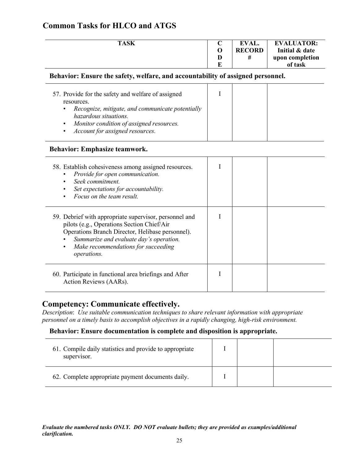|  |  |  |  | <b>Common Tasks for HLCO and ATGS</b> |
|--|--|--|--|---------------------------------------|
|--|--|--|--|---------------------------------------|

| <b>TASK</b> |   | EVAL.         | <b>EVALUATOR:</b> |
|-------------|---|---------------|-------------------|
|             |   | <b>RECORD</b> | Initial & date    |
|             |   | #             | upon completion   |
|             | ю |               | of task           |

#### **Behavior: Ensure the safety, welfare, and accountability of assigned personnel.**

| 57. Provide for the safety and welfare of assigned                                                                                                                                              |  |  |
|-------------------------------------------------------------------------------------------------------------------------------------------------------------------------------------------------|--|--|
| resources.                                                                                                                                                                                      |  |  |
| Recognize, mitigate, and communicate potentially<br>$\bullet$<br>hazardous situations.<br>Monitor condition of assigned resources.<br>$\bullet$<br>Account for assigned resources.<br>$\bullet$ |  |  |

#### **Behavior: Emphasize teamwork.**

| 58. Establish cohesiveness among assigned resources.<br>Provide for open communication.<br>Seek commitment.<br>Set expectations for accountability.<br>Focus on the team result.                                                                                       |  |  |
|------------------------------------------------------------------------------------------------------------------------------------------------------------------------------------------------------------------------------------------------------------------------|--|--|
| 59. Debrief with appropriate supervisor, personnel and<br>pilots (e.g., Operations Section Chief/Air<br>Operations Branch Director, Helibase personnel).<br>Summarize and evaluate day's operation.<br>Make recommendations for succeeding<br>$\bullet$<br>operations. |  |  |
| 60. Participate in functional area briefings and After<br>Action Reviews (AARs).                                                                                                                                                                                       |  |  |

### **Competency: Communicate effectively.**

*Description*: *Use suitable communication techniques to share relevant information with appropriate personnel on a timely basis to accomplish objectives in a rapidly changing, high-risk environment.* 

#### **Behavior: Ensure documentation is complete and disposition is appropriate.**

| 61. Compile daily statistics and provide to appropriate<br>supervisor. |  |  |
|------------------------------------------------------------------------|--|--|
| 62. Complete appropriate payment documents daily.                      |  |  |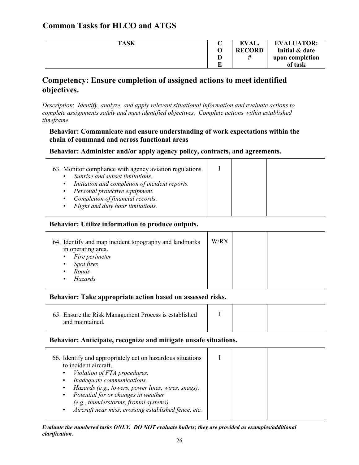| <b>TASK</b> |   | EVAL.         | <b>EVALUATOR:</b> |
|-------------|---|---------------|-------------------|
|             |   | <b>RECORD</b> | Initial & date    |
|             | D | #             | upon completion   |
|             |   |               | of task           |

### **Competency: Ensure completion of assigned actions to meet identified objectives.**

*Description*: *Identify, analyze, and apply relevant situational information and evaluate actions to complete assignments safely and meet identified objectives. Complete actions within established timeframe.*

#### **Behavior: Communicate and ensure understanding of work expectations within the chain of command and across functional areas**

#### **Behavior: Administer and/or apply agency policy, contracts, and agreements.**

| 63. Monitor compliance with agency aviation regulations.    |  |  |
|-------------------------------------------------------------|--|--|
|                                                             |  |  |
| Sunrise and sunset limitations.<br>$\bullet$                |  |  |
| Initiation and completion of incident reports.<br>$\bullet$ |  |  |
| Personal protective equipment.<br>$\bullet$                 |  |  |
| Completion of financial records.<br>$\bullet$               |  |  |
| Flight and duty hour limitations.<br>$\bullet$              |  |  |
|                                                             |  |  |

#### **Behavior: Utilize information to produce outputs.**

| 64. Identify and map incident topography and landmarks<br>in operating area.                                | W/RX |  |
|-------------------------------------------------------------------------------------------------------------|------|--|
| Fire perimeter<br>$\bullet$<br>Spot fires<br>$\bullet$<br>Roads<br>$\bullet$<br><b>Hazards</b><br>$\bullet$ |      |  |
|                                                                                                             |      |  |

#### **Behavior: Take appropriate action based on assessed risks.**

| 65. Ensure the Risk Management Process is established<br>and maintained |  |  |
|-------------------------------------------------------------------------|--|--|
|                                                                         |  |  |

#### **Behavior: Anticipate, recognize and mitigate unsafe situations.**

| 66. Identify and appropriately act on hazardous situations<br>to incident aircraft.<br>Violation of FTA procedures.<br>$\bullet$ |  |  |
|----------------------------------------------------------------------------------------------------------------------------------|--|--|
| Inadequate communications.<br>$\bullet$                                                                                          |  |  |
| Hazards (e.g., towers, power lines, wires, snags).<br>$\bullet$                                                                  |  |  |
| Potential for or changes in weather<br>$\bullet$                                                                                 |  |  |
| (e.g., thunderstorms, frontal systems).                                                                                          |  |  |
| Aircraft near miss, crossing established fence, etc.<br>$\bullet$                                                                |  |  |
|                                                                                                                                  |  |  |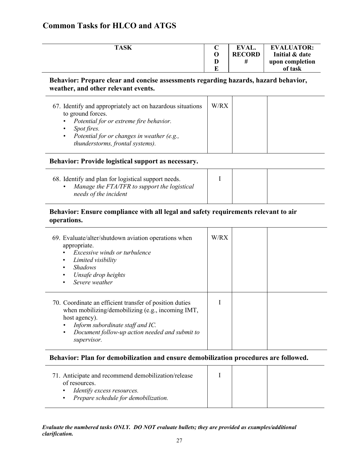| <b>TASK</b> |   | EVAL.         | <b>EVALUATOR:</b> |
|-------------|---|---------------|-------------------|
|             |   | <b>RECORD</b> | Initial & date    |
|             | D |               | upon completion   |
|             | R |               | of task           |

#### **Behavior: Prepare clear and concise assessments regarding hazards, hazard behavior, weather, and other relevant events.**

| 67. Identify and appropriately act on hazardous situations<br>to ground forces.                                                                                                 | W/RX |  |
|---------------------------------------------------------------------------------------------------------------------------------------------------------------------------------|------|--|
| Potential for or extreme fire behavior.<br>$\bullet$<br>Spot fires.<br>$\bullet$<br>Potential for or changes in weather (e.g.,<br>$\bullet$<br>thunderstorms, frontal systems). |      |  |

#### **Behavior: Provide logistical support as necessary.**

#### **Behavior: Ensure compliance with all legal and safety requirements relevant to air operations.**

| 69. Evaluate/alter/shutdown aviation operations when<br>appropriate.<br><i>Excessive winds or turbulence</i><br>Limited visibility<br><b>Shadows</b><br>Unsafe drop heights<br>$\bullet$<br>Severe weather                         | W/RX |  |
|------------------------------------------------------------------------------------------------------------------------------------------------------------------------------------------------------------------------------------|------|--|
| 70. Coordinate an efficient transfer of position duties<br>when mobilizing/demobilizing (e.g., incoming IMT,<br>host agency).<br>Inform subordinate staff and IC.<br>Document follow-up action needed and submit to<br>supervisor. |      |  |

#### **Behavior: Plan for demobilization and ensure demobilization procedures are followed.**

| 71. Anticipate and recommend demobilization/release<br>of resources.<br>Identify excess resources.<br>Prepare schedule for demobilization.<br>$\bullet$ |  |  |  |  |
|---------------------------------------------------------------------------------------------------------------------------------------------------------|--|--|--|--|
|---------------------------------------------------------------------------------------------------------------------------------------------------------|--|--|--|--|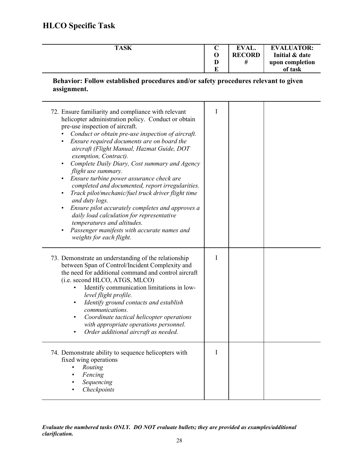# **HLCO Specific Task**

| <b>TASK</b> |   | EVAL.         | <b>EVALUATOR:</b> |
|-------------|---|---------------|-------------------|
|             |   | <b>RECORD</b> | Initial & date    |
|             |   |               | upon completion   |
|             | ю |               | of task           |

#### **Behavior: Follow established procedures and/or safety procedures relevant to given assignment.**

| 72. Ensure familiarity and compliance with relevant<br>helicopter administration policy. Conduct or obtain<br>pre-use inspection of aircraft.<br>Conduct or obtain pre-use inspection of aircraft.<br>Ensure required documents are on board the<br>$\bullet$<br>aircraft (Flight Manual, Hazmat Guide, DOT<br>exemption, Contract).<br>Complete Daily Diary, Cost summary and Agency<br>$\bullet$<br>flight use summary.<br>Ensure turbine power assurance check are<br>$\bullet$<br>completed and documented, report irregularities.<br>Track pilot/mechanic/fuel truck driver flight time<br>$\bullet$<br>and duty logs.<br>Ensure pilot accurately completes and approves a<br>$\bullet$<br>daily load calculation for representative<br>temperatures and altitudes.<br>Passenger manifests with accurate names and<br>$\bullet$<br>weights for each flight. | I |  |
|------------------------------------------------------------------------------------------------------------------------------------------------------------------------------------------------------------------------------------------------------------------------------------------------------------------------------------------------------------------------------------------------------------------------------------------------------------------------------------------------------------------------------------------------------------------------------------------------------------------------------------------------------------------------------------------------------------------------------------------------------------------------------------------------------------------------------------------------------------------|---|--|
| 73. Demonstrate an understanding of the relationship<br>between Span of Control/Incident Complexity and<br>the need for additional command and control aircraft<br>(i.e. second HLCO, ATGS, MLCO)<br>Identify communication limitations in low-<br>level flight profile.<br>Identify ground contacts and establish<br>$\bullet$<br>communications.<br>Coordinate tactical helicopter operations<br>$\bullet$<br>with appropriate operations personnel.<br>Order additional aircraft as needed.                                                                                                                                                                                                                                                                                                                                                                   | T |  |
| 74. Demonstrate ability to sequence helicopters with<br>fixed wing operations<br>Routing<br>Fencing<br>Sequencing<br>Checkpoints                                                                                                                                                                                                                                                                                                                                                                                                                                                                                                                                                                                                                                                                                                                                 | I |  |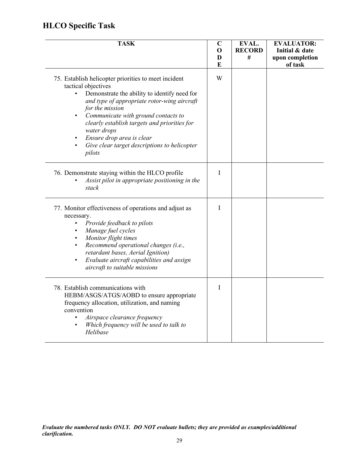# **HLCO Specific Task**

| <b>TASK</b>                                                                                                                                                                                                                                                                                                                                                                                                                                    | $\mathbf C$<br>$\mathbf 0$<br>D<br>E | EVAL.<br><b>RECORD</b><br># | <b>EVALUATOR:</b><br>Initial & date<br>upon completion<br>of task |
|------------------------------------------------------------------------------------------------------------------------------------------------------------------------------------------------------------------------------------------------------------------------------------------------------------------------------------------------------------------------------------------------------------------------------------------------|--------------------------------------|-----------------------------|-------------------------------------------------------------------|
| 75. Establish helicopter priorities to meet incident<br>tactical objectives<br>Demonstrate the ability to identify need for<br>$\bullet$<br>and type of appropriate rotor-wing aircraft<br>for the mission<br>Communicate with ground contacts to<br>$\bullet$<br>clearly establish targets and priorities for<br>water drops<br>Ensure drop area is clear<br>$\bullet$<br>Give clear target descriptions to helicopter<br>$\bullet$<br>pilots | W                                    |                             |                                                                   |
| 76. Demonstrate staying within the HLCO profile<br>Assist pilot in appropriate positioning in the<br>stack                                                                                                                                                                                                                                                                                                                                     | I                                    |                             |                                                                   |
| 77. Monitor effectiveness of operations and adjust as<br>necessary.<br>Provide feedback to pilots<br>$\bullet$<br>Manage fuel cycles<br>$\bullet$<br>Monitor flight times<br>$\bullet$<br>Recommend operational changes (i.e.,<br>$\bullet$<br>retardant bases, Aerial Ignition)<br>Evaluate aircraft capabilities and assign<br>$\bullet$<br>aircraft to suitable missions                                                                    | I                                    |                             |                                                                   |
| 78. Establish communications with<br>HEBM/ASGS/ATGS/AOBD to ensure appropriate<br>frequency allocation, utilization, and naming<br>convention<br>Airspace clearance frequency<br>$\bullet$<br>Which frequency will be used to talk to<br>$\bullet$<br>Helibase                                                                                                                                                                                 | I                                    |                             |                                                                   |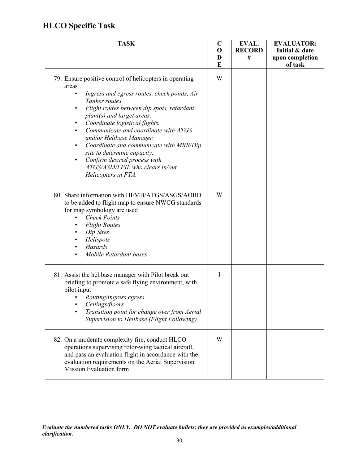# **HLCO Specific Task**

| <b>TASK</b>                                                                                                                                                                                                                                                                                                                                                                                                                                                                                           | $\mathbf C$<br>O<br>D<br>E | EVAL.<br><b>RECORD</b><br># | <b>EVALUATOR:</b><br>Initial & date<br>upon completion<br>of task |
|-------------------------------------------------------------------------------------------------------------------------------------------------------------------------------------------------------------------------------------------------------------------------------------------------------------------------------------------------------------------------------------------------------------------------------------------------------------------------------------------------------|----------------------------|-----------------------------|-------------------------------------------------------------------|
| 79. Ensure positive control of helicopters in operating<br>areas<br>Ingress and egress routes, check points, Air<br>$\bullet$<br>Tanker routes.<br>Flight routes between dip spots, retardant<br>plant(s) and target areas.<br>Coordinate logistical flights.<br>Communicate and coordinate with ATGS<br>and/or Helibase Manager.<br>Coordinate and communicate with MRB/Dip<br>site to determine capacity.<br>Confirm desired process with<br>ATGS/ASM/LPIL who clears in/out<br>Helicopters in FTA. | W                          |                             |                                                                   |
| 80. Share information with HEMB/ATGS/ASGS/AOBD<br>to be added to flight map to ensure NWCG standards<br>for map symbology are used<br><b>Check Points</b><br><b>Flight Routes</b><br>Dip Sites<br>Helispots<br>Hazards<br>Mobile Retardant bases                                                                                                                                                                                                                                                      | W                          |                             |                                                                   |
| 81. Assist the helibase manager with Pilot break out<br>briefing to promote a safe flying environment, with<br>pilot input<br>Routing/ingress egress<br>Ceilings/floors<br>Transition point for change over from Aerial<br>Supervision to Helibase (Flight Following)                                                                                                                                                                                                                                 | T                          |                             |                                                                   |
| 82. On a moderate complexity fire, conduct HLCO<br>operations supervising rotor-wing tactical aircraft,<br>and pass an evaluation flight in accordance with the<br>evaluation requirements on the Aerial Supervision<br>Mission Evaluation form                                                                                                                                                                                                                                                       | W                          |                             |                                                                   |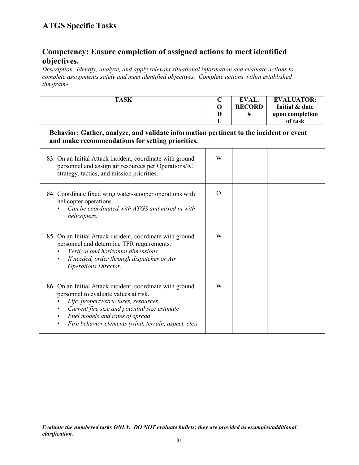### **Competency: Ensure completion of assigned actions to meet identified objectives.**

*Description: Identify, analyze, and apply relevant situational information and evaluate actions to complete assignments safely and meet identified objectives. Complete actions within established timeframe.*

| <b>TASK</b> | ◡ | EVAL.         | <b>EVALUATOR:</b> |
|-------------|---|---------------|-------------------|
|             |   | <b>RECORD</b> | Initial & date    |
|             | D |               | upon completion   |
|             |   |               | of task           |

#### **Behavior: Gather, analyze, and validate information pertinent to the incident or event and make recommendations for setting priorities.**

| 83. On an Initial Attack incident, coordinate with ground<br>personnel and assign air resources per Operations/IC<br>strategy, tactics, and mission priorities.                                                                                                                        | W        |  |
|----------------------------------------------------------------------------------------------------------------------------------------------------------------------------------------------------------------------------------------------------------------------------------------|----------|--|
| 84. Coordinate fixed wing water-scooper operations with<br>helicopter operations.<br>Can be coordinated with ATGS and mixed in with<br>helicopters.                                                                                                                                    | $\Omega$ |  |
| 85. On an Initial Attack incident, coordinate with ground<br>personnel and determine TFR requirements.<br>Vertical and horizontal dimensions.<br>If needed, order through dispatcher or Air<br><b>Operations Director.</b>                                                             | W        |  |
| 86. On an Initial Attack incident, coordinate with ground<br>personnel to evaluate values at risk.<br>Life, property/structures, resources<br>Current fire size and potential size estimate<br>Fuel models and rates of spread<br>Fire behavior elements (wind, terrain, aspect, etc.) | W        |  |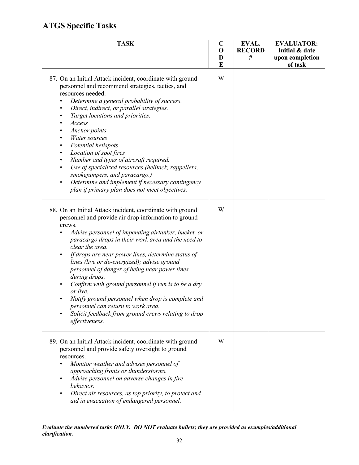| <b>TASK</b>                                                                                                                                                                                                                                                                                                                                                                                                                                                                                                                                                                                                                                                                                                                    | $\mathbf C$<br>$\mathbf 0$<br>D<br>E | EVAL.<br><b>RECORD</b><br># | <b>EVALUATOR:</b><br>Initial & date<br>upon completion<br>of task |
|--------------------------------------------------------------------------------------------------------------------------------------------------------------------------------------------------------------------------------------------------------------------------------------------------------------------------------------------------------------------------------------------------------------------------------------------------------------------------------------------------------------------------------------------------------------------------------------------------------------------------------------------------------------------------------------------------------------------------------|--------------------------------------|-----------------------------|-------------------------------------------------------------------|
| 87. On an Initial Attack incident, coordinate with ground<br>personnel and recommend strategies, tactics, and<br>resources needed.<br>Determine a general probability of success.<br>$\bullet$<br>Direct, indirect, or parallel strategies.<br>$\bullet$<br>Target locations and priorities.<br>$\bullet$<br>Access<br>٠<br>Anchor points<br>٠<br>Water sources<br>$\bullet$<br>Potential helispots<br>٠<br>Location of spot fires<br>$\bullet$<br>Number and types of aircraft required.<br>$\bullet$<br>Use of specialized resources (helitack, rappellers,<br>$\bullet$<br>smokejumpers, and paracargo.)<br>Determine and implement if necessary contingency<br>$\bullet$<br>plan if primary plan does not meet objectives. | W                                    |                             |                                                                   |
| 88. On an Initial Attack incident, coordinate with ground<br>personnel and provide air drop information to ground<br>crews.<br>Advise personnel of impending airtanker, bucket, or<br>paracargo drops in their work area and the need to<br>clear the area.<br>If drops are near power lines, determine status of<br>lines (live or de-energized); advise ground<br>personnel of danger of being near power lines<br>during drops.<br>Confirm with ground personnel if run is to be a dry<br>or live.<br>Notify ground personnel when drop is complete and<br>personnel can return to work area.<br>Solicit feedback from ground crews relating to drop<br>effectiveness.                                                      | W                                    |                             |                                                                   |
| 89. On an Initial Attack incident, coordinate with ground<br>personnel and provide safety oversight to ground<br>resources.<br>Monitor weather and advises personnel of<br>approaching fronts or thunderstorms.<br>Advise personnel on adverse changes in fire<br>behavior.<br>Direct air resources, as top priority, to protect and<br>$\bullet$<br>aid in evacuation of endangered personnel.                                                                                                                                                                                                                                                                                                                                | W                                    |                             |                                                                   |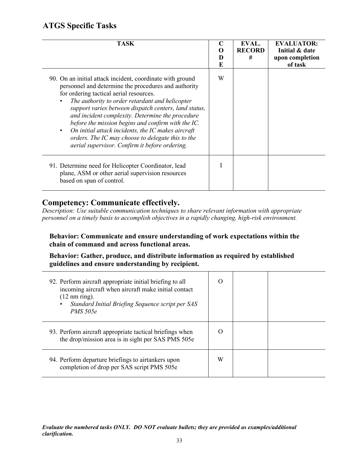| <b>TASK</b>                                                                                                                                                                                                                                                                                                                                                                                                                                                                                                                                     | C<br>E | EVAL.<br><b>RECORD</b><br># | <b>EVALUATOR:</b><br>Initial & date<br>upon completion<br>of task |
|-------------------------------------------------------------------------------------------------------------------------------------------------------------------------------------------------------------------------------------------------------------------------------------------------------------------------------------------------------------------------------------------------------------------------------------------------------------------------------------------------------------------------------------------------|--------|-----------------------------|-------------------------------------------------------------------|
| 90. On an initial attack incident, coordinate with ground<br>personnel and determine the procedures and authority<br>for ordering tactical aerial resources.<br>The authority to order retardant and helicopter<br>support varies between dispatch centers, land status,<br>and incident complexity. Determine the procedure<br>before the mission begins and confirm with the IC.<br>On initial attack incidents, the IC makes aircraft<br>orders. The IC may choose to delegate this to the<br>aerial supervisor. Confirm it before ordering. | W      |                             |                                                                   |
| 91. Determine need for Helicopter Coordinator, lead<br>plane, ASM or other aerial supervision resources<br>based on span of control.                                                                                                                                                                                                                                                                                                                                                                                                            |        |                             |                                                                   |

#### **Competency: Communicate effectively.**

*Description: Use suitable communication techniques to share relevant information with appropriate personnel on a timely basis to accomplish objectives in a rapidly changing, high-risk environment.*

**Behavior: Communicate and ensure understanding of work expectations within the chain of command and across functional areas.**

**Behavior: Gather, produce, and distribute information as required by established guidelines and ensure understanding by recipient.**

| 92. Perform aircraft appropriate initial briefing to all<br>incoming aircraft when aircraft make initial contact<br>$(12 \text{ nm ring}).$<br>Standard Initial Briefing Sequence script per SAS<br><i>PMS</i> 505e | $\Omega$ |  |
|---------------------------------------------------------------------------------------------------------------------------------------------------------------------------------------------------------------------|----------|--|
| 93. Perform aircraft appropriate tactical briefings when<br>the drop/mission area is in sight per SAS PMS 505e                                                                                                      | $\Omega$ |  |
| 94. Perform departure briefings to airtankers upon<br>completion of drop per SAS script PMS 505e                                                                                                                    | W        |  |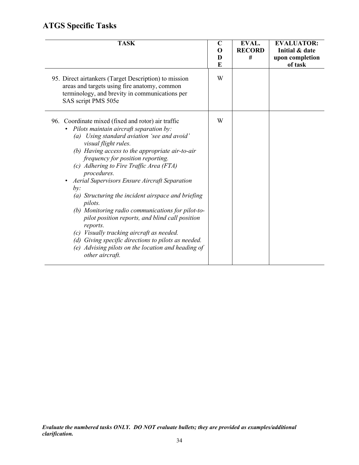| <b>TASK</b>                                                                                                                                                                                                                                                                                                                                                                                                                                                                                                                                                                                                                                                                                                                                         | $\mathbf C$<br>O<br>D<br>E | EVAL.<br><b>RECORD</b><br># | <b>EVALUATOR:</b><br>Initial & date<br>upon completion<br>of task |
|-----------------------------------------------------------------------------------------------------------------------------------------------------------------------------------------------------------------------------------------------------------------------------------------------------------------------------------------------------------------------------------------------------------------------------------------------------------------------------------------------------------------------------------------------------------------------------------------------------------------------------------------------------------------------------------------------------------------------------------------------------|----------------------------|-----------------------------|-------------------------------------------------------------------|
| 95. Direct airtankers (Target Description) to mission<br>areas and targets using fire anatomy, common<br>terminology, and brevity in communications per<br>SAS script PMS 505e                                                                                                                                                                                                                                                                                                                                                                                                                                                                                                                                                                      | W                          |                             |                                                                   |
| 96. Coordinate mixed (fixed and rotor) air traffic<br>Pilots maintain aircraft separation by:<br>Using standard aviation 'see and avoid'<br>(a)<br>visual flight rules.<br>(b) Having access to the appropriate air-to-air<br>frequency for position reporting.<br>(c) Adhering to Fire Traffic Area (FTA)<br>procedures.<br>Aerial Supervisors Ensure Aircraft Separation<br>by:<br>(a) Structuring the incident airspace and briefing<br>pilots.<br>(b) Monitoring radio communications for pilot-to-<br>pilot position reports, and blind call position<br>reports.<br>(c) Visually tracking aircraft as needed.<br>(d) Giving specific directions to pilots as needed.<br>(e) Advising pilots on the location and heading of<br>other aircraft. | W                          |                             |                                                                   |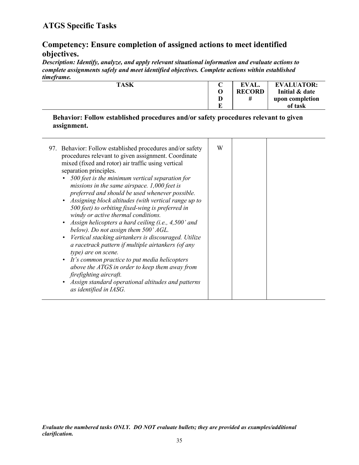### **Competency: Ensure completion of assigned actions to meet identified objectives.**

*Description: Identify, analyze, and apply relevant situational information and evaluate actions to complete assignments safely and meet identified objectives. Complete actions within established timeframe.*

| .           |   |               |                   |
|-------------|---|---------------|-------------------|
| <b>TASK</b> |   | EVAL.         | <b>EVALUATOR:</b> |
|             |   | <b>RECORD</b> | Initial & date    |
|             | D |               | upon completion   |
|             | г |               | of task           |
|             |   |               |                   |

#### **Behavior: Follow established procedures and/or safety procedures relevant to given assignment.**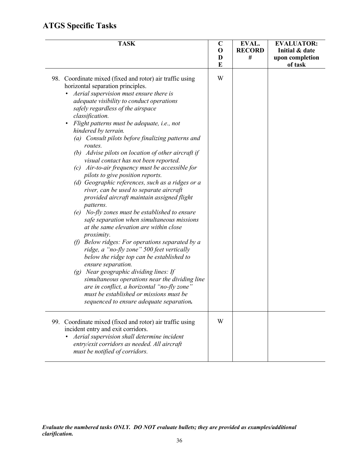| <b>TASK</b>                                                                                                                                                                                                                                                                                                                                                                                                                                                                                                                                                                                                                                                                                                                                                                                                                                                                                                                                                                                                                                                                                                                                                                                                                                                                                                          | $\mathbf C$<br>$\mathbf 0$<br>D<br>E | EVAL.<br><b>RECORD</b><br># | <b>EVALUATOR:</b><br>Initial & date<br>upon completion<br>of task |
|----------------------------------------------------------------------------------------------------------------------------------------------------------------------------------------------------------------------------------------------------------------------------------------------------------------------------------------------------------------------------------------------------------------------------------------------------------------------------------------------------------------------------------------------------------------------------------------------------------------------------------------------------------------------------------------------------------------------------------------------------------------------------------------------------------------------------------------------------------------------------------------------------------------------------------------------------------------------------------------------------------------------------------------------------------------------------------------------------------------------------------------------------------------------------------------------------------------------------------------------------------------------------------------------------------------------|--------------------------------------|-----------------------------|-------------------------------------------------------------------|
| 98. Coordinate mixed (fixed and rotor) air traffic using<br>horizontal separation principles.<br>Aerial supervision must ensure there is<br>adequate visibility to conduct operations<br>safely regardless of the airspace<br>classification.<br>Flight patterns must be adequate, i.e., not<br>$\bullet$<br>hindered by terrain.<br>(a) Consult pilots before finalizing patterns and<br>routes.<br>(b) Advise pilots on location of other aircraft if<br>visual contact has not been reported.<br>$(c)$ Air-to-air frequency must be accessible for<br>pilots to give position reports.<br>(d) Geographic references, such as a ridges or a<br>river, can be used to separate aircraft<br>provided aircraft maintain assigned flight<br>patterns.<br>No-fly zones must be established to ensure<br>(e)<br>safe separation when simultaneous missions<br>at the same elevation are within close<br>proximity.<br>(f) Below ridges: For operations separated by a<br>ridge, a "no-fly zone" 500 feet vertically<br>below the ridge top can be established to<br>ensure separation.<br>(g) Near geographic dividing lines: If<br>simultaneous operations near the dividing line<br>are in conflict, a horizontal "no-fly zone"<br>must be established or missions must be<br>sequenced to ensure adequate separation. | W                                    |                             |                                                                   |
| 99. Coordinate mixed (fixed and rotor) air traffic using<br>incident entry and exit corridors.<br>Aerial supervision shall determine incident<br>entry/exit corridors as needed. All aircraft<br>must be notified of corridors.                                                                                                                                                                                                                                                                                                                                                                                                                                                                                                                                                                                                                                                                                                                                                                                                                                                                                                                                                                                                                                                                                      | W                                    |                             |                                                                   |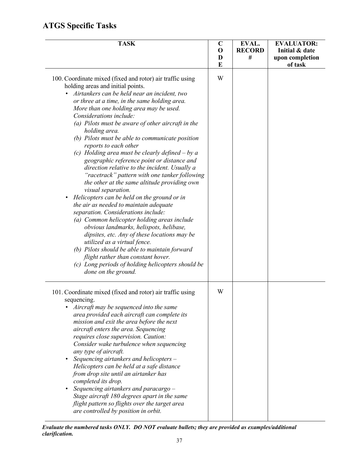| <b>TASK</b>                                                                                                                                                                                                                                                                                                                                                                                                                                                                                                                                                                                                                                                                                                                                                                                                                                                                                                                                                                                                                                                                                                                                                                          | $\mathbf C$<br>$\mathbf 0$ | EVAL.<br><b>RECORD</b> | <b>EVALUATOR:</b><br>Initial & date |
|--------------------------------------------------------------------------------------------------------------------------------------------------------------------------------------------------------------------------------------------------------------------------------------------------------------------------------------------------------------------------------------------------------------------------------------------------------------------------------------------------------------------------------------------------------------------------------------------------------------------------------------------------------------------------------------------------------------------------------------------------------------------------------------------------------------------------------------------------------------------------------------------------------------------------------------------------------------------------------------------------------------------------------------------------------------------------------------------------------------------------------------------------------------------------------------|----------------------------|------------------------|-------------------------------------|
|                                                                                                                                                                                                                                                                                                                                                                                                                                                                                                                                                                                                                                                                                                                                                                                                                                                                                                                                                                                                                                                                                                                                                                                      | D<br>E                     | #                      | upon completion<br>of task          |
| 100. Coordinate mixed (fixed and rotor) air traffic using<br>holding areas and initial points.<br>Airtankers can be held near an incident, two<br>or three at a time, in the same holding area.<br>More than one holding area may be used.<br>Considerations include:<br>(a) Pilots must be aware of other aircraft in the<br>holding area.<br>(b) Pilots must be able to communicate position<br>reports to each other<br>(c) Holding area must be clearly defined $-$ by a<br>geographic reference point or distance and<br>direction relative to the incident. Usually a<br>"racetrack" pattern with one tanker following<br>the other at the same altitude providing own<br>visual separation.<br>Helicopters can be held on the ground or in<br>٠<br>the air as needed to maintain adequate<br>separation. Considerations include:<br>(a) Common helicopter holding areas include<br>obvious landmarks, helispots, helibase,<br>dipsites, etc. Any of these locations may be<br>utilized as a virtual fence.<br>(b) Pilots should be able to maintain forward<br>flight rather than constant hover.<br>(c) Long periods of holding helicopters should be<br>done on the ground. | W                          |                        |                                     |
| 101. Coordinate mixed (fixed and rotor) air traffic using<br>sequencing.<br>Aircraft may be sequenced into the same<br>area provided each aircraft can complete its<br>mission and exit the area before the next<br>aircraft enters the area. Sequencing<br>requires close supervision. Caution:<br>Consider wake turbulence when sequencing<br>any type of aircraft.<br>Sequencing airtankers and helicopters -<br>Helicopters can be held at a safe distance<br>from drop site until an airtanker has<br>completed its drop.<br>Sequencing airtankers and paracargo -<br>Stage aircraft 180 degrees apart in the same<br>flight pattern so flights over the target area<br>are controlled by position in orbit.                                                                                                                                                                                                                                                                                                                                                                                                                                                                    | W                          |                        |                                     |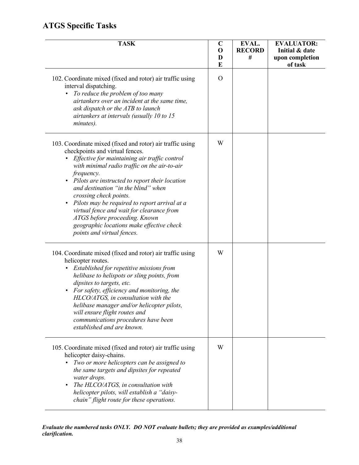| <b>TASK</b>                                                                                                                                                                                                                                                                                                                                                                                                                                                                                                                              | $\mathbf C$<br>O<br>D<br>E | EVAL.<br><b>RECORD</b><br># | <b>EVALUATOR:</b><br>Initial & date<br>upon completion<br>of task |
|------------------------------------------------------------------------------------------------------------------------------------------------------------------------------------------------------------------------------------------------------------------------------------------------------------------------------------------------------------------------------------------------------------------------------------------------------------------------------------------------------------------------------------------|----------------------------|-----------------------------|-------------------------------------------------------------------|
| 102. Coordinate mixed (fixed and rotor) air traffic using<br>interval dispatching.<br>To reduce the problem of too many<br>$\bullet$<br>airtankers over an incident at the same time,<br>ask dispatch or the ATB to launch<br>airtankers at intervals (usually 10 to 15<br>minutes).                                                                                                                                                                                                                                                     | $\Omega$                   |                             |                                                                   |
| 103. Coordinate mixed (fixed and rotor) air traffic using<br>checkpoints and virtual fences.<br>Effective for maintaining air traffic control<br>with minimal radio traffic on the air-to-air<br>frequency.<br>Pilots are instructed to report their location<br>and destination "in the blind" when<br>crossing check points.<br>Pilots may be required to report arrival at a<br>virtual fence and wait for clearance from<br>ATGS before proceeding. Known<br>geographic locations make effective check<br>points and virtual fences. | W                          |                             |                                                                   |
| 104. Coordinate mixed (fixed and rotor) air traffic using<br>helicopter routes.<br>Established for repetitive missions from<br>helibase to helispots or sling points, from<br>dipsites to targets, etc.<br>For safety, efficiency and monitoring, the<br>HLCO/ATGS, in consultation with the<br>helibase manager and/or helicopter pilots,<br>will ensure flight routes and<br>communications procedures have been<br>established and are known.                                                                                         | W                          |                             |                                                                   |
| 105. Coordinate mixed (fixed and rotor) air traffic using<br>helicopter daisy-chains.<br>Two or more helicopters can be assigned to<br>the same targets and dipsites for repeated<br>water drops.<br>The HLCO/ATGS, in consultation with<br>helicopter pilots, will establish a "daisy-<br>chain" flight route for these operations.                                                                                                                                                                                                     | W                          |                             |                                                                   |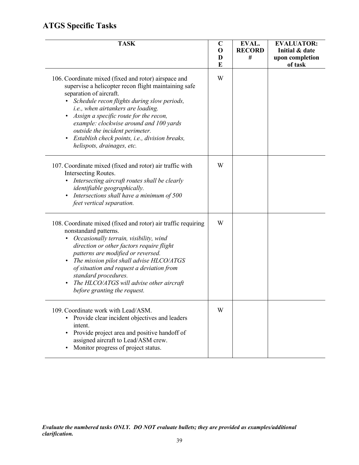| <b>TASK</b>                                                                                                                                                                                                                                                                                                                                                                                                                                                    | $\mathbf C$<br>$\mathbf 0$<br>D<br>E | EVAL.<br><b>RECORD</b><br># | <b>EVALUATOR:</b><br>Initial & date<br>upon completion<br>of task |
|----------------------------------------------------------------------------------------------------------------------------------------------------------------------------------------------------------------------------------------------------------------------------------------------------------------------------------------------------------------------------------------------------------------------------------------------------------------|--------------------------------------|-----------------------------|-------------------------------------------------------------------|
| 106. Coordinate mixed (fixed and rotor) airspace and<br>supervise a helicopter recon flight maintaining safe<br>separation of aircraft.<br>Schedule recon flights during slow periods,<br>i.e., when airtankers are loading.<br>Assign a specific route for the recon,<br>$\bullet$<br>example: clockwise around and 100 yards<br>outside the incident perimeter.<br>Establish check points, i.e., division breaks,<br>$\bullet$<br>helispots, drainages, etc. | W                                    |                             |                                                                   |
| 107. Coordinate mixed (fixed and rotor) air traffic with<br>Intersecting Routes.<br>Intersecting aircraft routes shall be clearly<br>$\bullet$<br>identifiable geographically.<br>Intersections shall have a minimum of 500<br>$\bullet$<br>feet vertical separation.                                                                                                                                                                                          | W                                    |                             |                                                                   |
| 108. Coordinate mixed (fixed and rotor) air traffic requiring<br>nonstandard patterns.<br>Occasionally terrain, visibility, wind<br>$\bullet$<br>direction or other factors require flight<br>patterns are modified or reversed.<br>The mission pilot shall advise HLCO/ATGS<br>$\bullet$<br>of situation and request a deviation from<br>standard procedures.<br>The HLCO/ATGS will advise other aircraft<br>$\bullet$<br>before granting the request.        | W                                    |                             |                                                                   |
| 109. Coordinate work with Lead/ASM.<br>Provide clear incident objectives and leaders<br>$\bullet$<br>intent.<br>Provide project area and positive handoff of<br>$\bullet$<br>assigned aircraft to Lead/ASM crew.<br>Monitor progress of project status.                                                                                                                                                                                                        | W                                    |                             |                                                                   |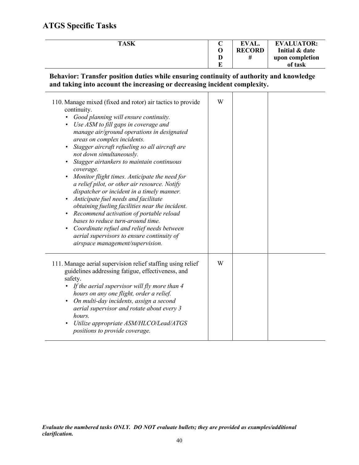÷.

| <b>TASK</b> | ◡       | <b>EVAL.</b>  | <b>EVALUATOR:</b> |
|-------------|---------|---------------|-------------------|
|             |         | <b>RECORD</b> | Initial & date    |
|             |         |               | upon completion   |
|             | n<br>υч |               | of task           |

**Behavior: Transfer position duties while ensuring continuity of authority and knowledge and taking into account the increasing or decreasing incident complexity.**

| 110. Manage mixed (fixed and rotor) air tactics to provide<br>continuity.<br>Good planning will ensure continuity.<br>Use ASM to fill gaps in coverage and<br>manage air/ground operations in designated<br>areas on complex incidents.<br>Stagger aircraft refueling so all aircraft are<br>not down simultaneously.<br>Stagger airtankers to maintain continuous<br>coverage.<br>Monitor flight times. Anticipate the need for<br>a relief pilot, or other air resource. Notify<br>dispatcher or incident in a timely manner.<br>Anticipate fuel needs and facilitate<br>obtaining fueling facilities near the incident.<br>Recommend activation of portable reload<br>$\bullet$<br>bases to reduce turn-around time.<br>Coordinate refuel and relief needs between<br>aerial supervisors to ensure continuity of<br>airspace management/supervision. | W |  |  |
|---------------------------------------------------------------------------------------------------------------------------------------------------------------------------------------------------------------------------------------------------------------------------------------------------------------------------------------------------------------------------------------------------------------------------------------------------------------------------------------------------------------------------------------------------------------------------------------------------------------------------------------------------------------------------------------------------------------------------------------------------------------------------------------------------------------------------------------------------------|---|--|--|
| 111. Manage aerial supervision relief staffing using relief<br>guidelines addressing fatigue, effectiveness, and<br>safety.<br>• If the aerial supervisor will fly more than 4<br>hours on any one flight, order a relief.<br>On multi-day incidents, assign a second<br>$\bullet$<br>aerial supervisor and rotate about every 3<br>hours.<br>Utilize appropriate ASM/HLCO/Lead/ATGS<br>positions to provide coverage.                                                                                                                                                                                                                                                                                                                                                                                                                                  | W |  |  |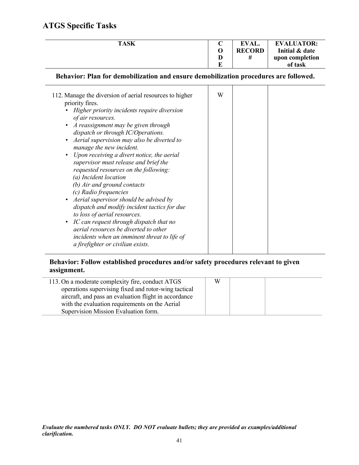| <b>TASK</b> |   | EVAL.         | <b>EVALUATOR:</b> |
|-------------|---|---------------|-------------------|
|             |   | <b>RECORD</b> | Initial & date    |
|             |   |               | upon completion   |
|             | ┳ |               | of task           |

**Behavior: Plan for demobilization and ensure demobilization procedures are followed.**

| 112. Manage the diversion of aerial resources to higher<br>priority fires.<br>Higher priority incidents require diversion<br>of air resources.<br>A reassignment may be given through<br>dispatch or through IC/Operations.<br>Aerial supervision may also be diverted to<br>$\bullet$<br>manage the new incident.<br>Upon receiving a divert notice, the aerial<br>$\bullet$<br>supervisor must release and brief the<br>requested resources on the following:<br>(a) Incident location<br>(b) Air and ground contacts<br>(c) Radio frequencies<br>Aerial supervisor should be advised by<br>$\bullet$<br>dispatch and modify incident tactics for due<br>to loss of aerial resources.<br>• IC can request through dispatch that no<br>aerial resources be diverted to other<br>incidents when an imminent threat to life of<br>a firefighter or civilian exists. | W |  |  |  |
|--------------------------------------------------------------------------------------------------------------------------------------------------------------------------------------------------------------------------------------------------------------------------------------------------------------------------------------------------------------------------------------------------------------------------------------------------------------------------------------------------------------------------------------------------------------------------------------------------------------------------------------------------------------------------------------------------------------------------------------------------------------------------------------------------------------------------------------------------------------------|---|--|--|--|
|--------------------------------------------------------------------------------------------------------------------------------------------------------------------------------------------------------------------------------------------------------------------------------------------------------------------------------------------------------------------------------------------------------------------------------------------------------------------------------------------------------------------------------------------------------------------------------------------------------------------------------------------------------------------------------------------------------------------------------------------------------------------------------------------------------------------------------------------------------------------|---|--|--|--|

#### **Behavior: Follow established procedures and/or safety procedures relevant to given assignment.**

| 113. On a moderate complexity fire, conduct ATGS      | W |  |
|-------------------------------------------------------|---|--|
| operations supervising fixed and rotor-wing tactical  |   |  |
| aircraft, and pass an evaluation flight in accordance |   |  |
| with the evaluation requirements on the Aerial        |   |  |
| Supervision Mission Evaluation form.                  |   |  |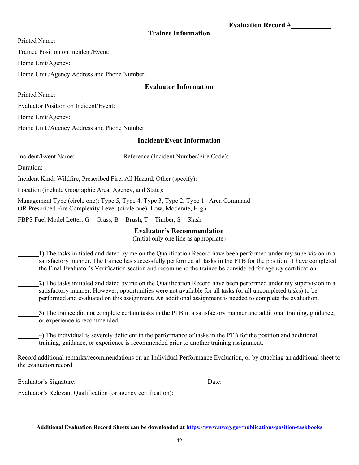#### **Trainee Information**

Printed Name:

Trainee Position on Incident/Event:

Home Unit/Agency:

Home Unit /Agency Address and Phone Number:

#### **Evaluator Information**

Printed Name:

Evaluator Position on Incident/Event:

Home Unit/Agency:

Home Unit /Agency Address and Phone Number:

#### **Incident/Event Information**

Incident/Event Name: Reference (Incident Number/Fire Code):

Duration:

Incident Kind: Wildfire, Prescribed Fire, All Hazard, Other (specify):

Location (include Geographic Area, Agency, and State):

Management Type (circle one): Type 5, Type 4, Type 3, Type 2, Type 1, Area Command OR Prescribed Fire Complexity Level (circle one): Low, Moderate, High

FBPS Fuel Model Letter:  $G = Grass$ ,  $B = Brush$ ,  $T = Timber$ ,  $S = Slash$ 

#### **Evaluator's Recommendation**

(Initial only one line as appropriate)

 **1)** The tasks initialed and dated by me on the Qualification Record have been performed under my supervision in a satisfactory manner. The trainee has successfully performed all tasks in the PTB for the position. I have completed the Final Evaluator's Verification section and recommend the trainee be considered for agency certification.

 **2)** The tasks initialed and dated by me on the Qualification Record have been performed under my supervision in a satisfactory manner. However, opportunities were not available for all tasks (or all uncompleted tasks) to be performed and evaluated on this assignment. An additional assignment is needed to complete the evaluation.

 **3)** The trainee did not complete certain tasks in the PTB in a satisfactory manner and additional training, guidance, or experience is recommended.

 **4)** The individual is severely deficient in the performance of tasks in the PTB for the position and additional training, guidance, or experience is recommended prior to another training assignment.

Record additional remarks/recommendations on an Individual Performance Evaluation, or by attaching an additional sheet to the evaluation record.

| Evaluator's Signature:                                        | Date. |  |
|---------------------------------------------------------------|-------|--|
| Evaluator's Relevant Qualification (or agency certification): |       |  |

**Additional Evaluation Record Sheets can be downloaded a[t https://www.nwcg.gov/publications/position-taskbooks](https://www.nwcg.gov/publications/position-taskbooks)**